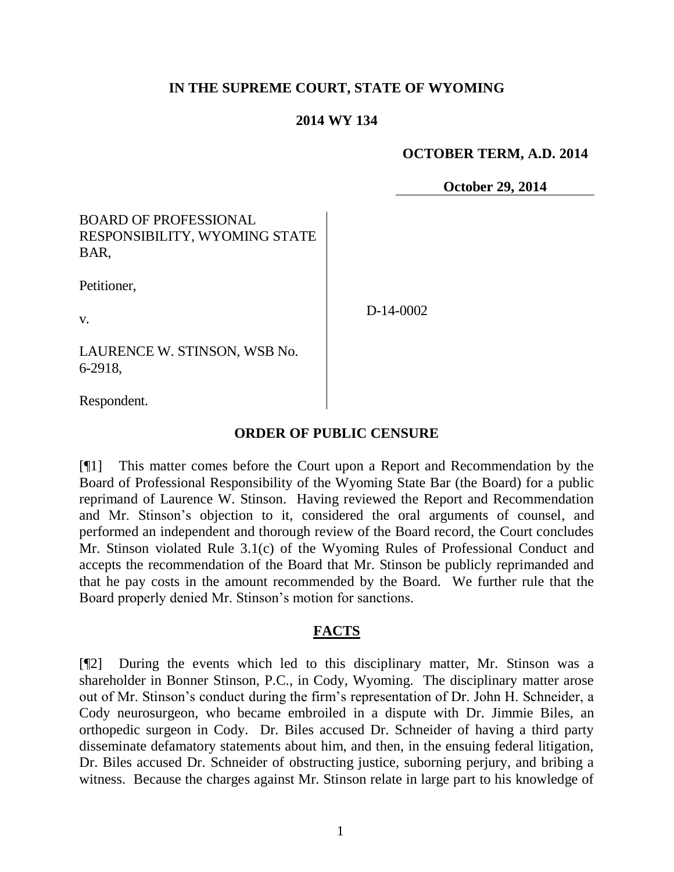## **IN THE SUPREME COURT, STATE OF WYOMING**

#### **2014 WY 134**

#### **OCTOBER TERM, A.D. 2014**

**October 29, 2014**

## BOARD OF PROFESSIONAL RESPONSIBILITY, WYOMING STATE BAR,

Petitioner,

v.

D-14-0002

LAURENCE W. STINSON, WSB No. 6-2918,

Respondent.

### **ORDER OF PUBLIC CENSURE**

[¶1] This matter comes before the Court upon a Report and Recommendation by the Board of Professional Responsibility of the Wyoming State Bar (the Board) for a public reprimand of Laurence W. Stinson. Having reviewed the Report and Recommendation and Mr. Stinson's objection to it, considered the oral arguments of counsel, and performed an independent and thorough review of the Board record, the Court concludes Mr. Stinson violated Rule 3.1(c) of the Wyoming Rules of Professional Conduct and accepts the recommendation of the Board that Mr. Stinson be publicly reprimanded and that he pay costs in the amount recommended by the Board. We further rule that the Board properly denied Mr. Stinson's motion for sanctions.

### **FACTS**

[¶2] During the events which led to this disciplinary matter, Mr. Stinson was a shareholder in Bonner Stinson, P.C., in Cody, Wyoming. The disciplinary matter arose out of Mr. Stinson's conduct during the firm's representation of Dr. John H. Schneider, a Cody neurosurgeon, who became embroiled in a dispute with Dr. Jimmie Biles, an orthopedic surgeon in Cody. Dr. Biles accused Dr. Schneider of having a third party disseminate defamatory statements about him, and then, in the ensuing federal litigation, Dr. Biles accused Dr. Schneider of obstructing justice, suborning perjury, and bribing a witness. Because the charges against Mr. Stinson relate in large part to his knowledge of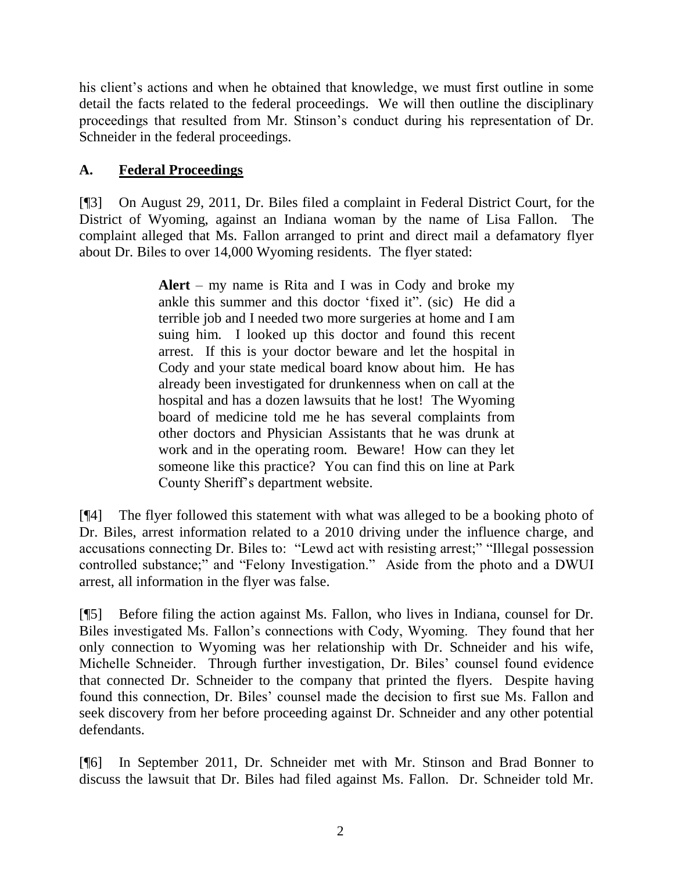his client's actions and when he obtained that knowledge, we must first outline in some detail the facts related to the federal proceedings. We will then outline the disciplinary proceedings that resulted from Mr. Stinson's conduct during his representation of Dr. Schneider in the federal proceedings.

# **A. Federal Proceedings**

[¶3] On August 29, 2011, Dr. Biles filed a complaint in Federal District Court, for the District of Wyoming, against an Indiana woman by the name of Lisa Fallon. The complaint alleged that Ms. Fallon arranged to print and direct mail a defamatory flyer about Dr. Biles to over 14,000 Wyoming residents. The flyer stated:

> **Alert** – my name is Rita and I was in Cody and broke my ankle this summer and this doctor 'fixed it". (sic) He did a terrible job and I needed two more surgeries at home and I am suing him. I looked up this doctor and found this recent arrest. If this is your doctor beware and let the hospital in Cody and your state medical board know about him. He has already been investigated for drunkenness when on call at the hospital and has a dozen lawsuits that he lost! The Wyoming board of medicine told me he has several complaints from other doctors and Physician Assistants that he was drunk at work and in the operating room. Beware! How can they let someone like this practice? You can find this on line at Park County Sheriff's department website.

[¶4] The flyer followed this statement with what was alleged to be a booking photo of Dr. Biles, arrest information related to a 2010 driving under the influence charge, and accusations connecting Dr. Biles to: "Lewd act with resisting arrest;" "Illegal possession controlled substance;" and "Felony Investigation." Aside from the photo and a DWUI arrest, all information in the flyer was false.

[¶5] Before filing the action against Ms. Fallon, who lives in Indiana, counsel for Dr. Biles investigated Ms. Fallon's connections with Cody, Wyoming. They found that her only connection to Wyoming was her relationship with Dr. Schneider and his wife, Michelle Schneider. Through further investigation, Dr. Biles' counsel found evidence that connected Dr. Schneider to the company that printed the flyers. Despite having found this connection, Dr. Biles' counsel made the decision to first sue Ms. Fallon and seek discovery from her before proceeding against Dr. Schneider and any other potential defendants.

[¶6] In September 2011, Dr. Schneider met with Mr. Stinson and Brad Bonner to discuss the lawsuit that Dr. Biles had filed against Ms. Fallon. Dr. Schneider told Mr.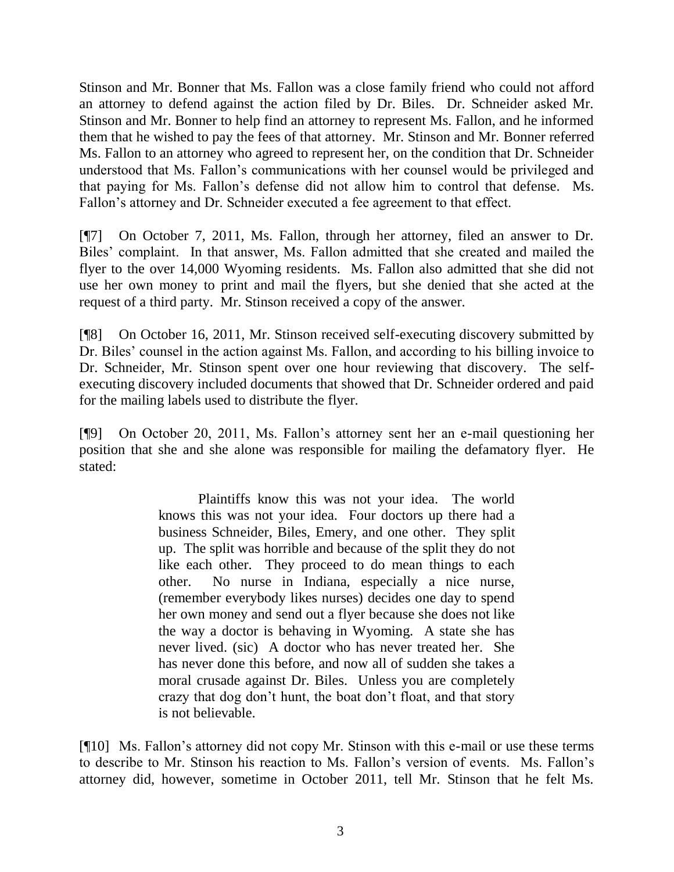Stinson and Mr. Bonner that Ms. Fallon was a close family friend who could not afford an attorney to defend against the action filed by Dr. Biles. Dr. Schneider asked Mr. Stinson and Mr. Bonner to help find an attorney to represent Ms. Fallon, and he informed them that he wished to pay the fees of that attorney. Mr. Stinson and Mr. Bonner referred Ms. Fallon to an attorney who agreed to represent her, on the condition that Dr. Schneider understood that Ms. Fallon's communications with her counsel would be privileged and that paying for Ms. Fallon's defense did not allow him to control that defense. Ms. Fallon's attorney and Dr. Schneider executed a fee agreement to that effect.

[¶7] On October 7, 2011, Ms. Fallon, through her attorney, filed an answer to Dr. Biles' complaint. In that answer, Ms. Fallon admitted that she created and mailed the flyer to the over 14,000 Wyoming residents. Ms. Fallon also admitted that she did not use her own money to print and mail the flyers, but she denied that she acted at the request of a third party. Mr. Stinson received a copy of the answer.

[¶8] On October 16, 2011, Mr. Stinson received self-executing discovery submitted by Dr. Biles' counsel in the action against Ms. Fallon, and according to his billing invoice to Dr. Schneider, Mr. Stinson spent over one hour reviewing that discovery. The selfexecuting discovery included documents that showed that Dr. Schneider ordered and paid for the mailing labels used to distribute the flyer.

[¶9] On October 20, 2011, Ms. Fallon's attorney sent her an e-mail questioning her position that she and she alone was responsible for mailing the defamatory flyer. He stated:

> Plaintiffs know this was not your idea. The world knows this was not your idea. Four doctors up there had a business Schneider, Biles, Emery, and one other. They split up. The split was horrible and because of the split they do not like each other. They proceed to do mean things to each other. No nurse in Indiana, especially a nice nurse, (remember everybody likes nurses) decides one day to spend her own money and send out a flyer because she does not like the way a doctor is behaving in Wyoming. A state she has never lived. (sic) A doctor who has never treated her. She has never done this before, and now all of sudden she takes a moral crusade against Dr. Biles. Unless you are completely crazy that dog don't hunt, the boat don't float, and that story is not believable.

[¶10] Ms. Fallon's attorney did not copy Mr. Stinson with this e-mail or use these terms to describe to Mr. Stinson his reaction to Ms. Fallon's version of events. Ms. Fallon's attorney did, however, sometime in October 2011, tell Mr. Stinson that he felt Ms.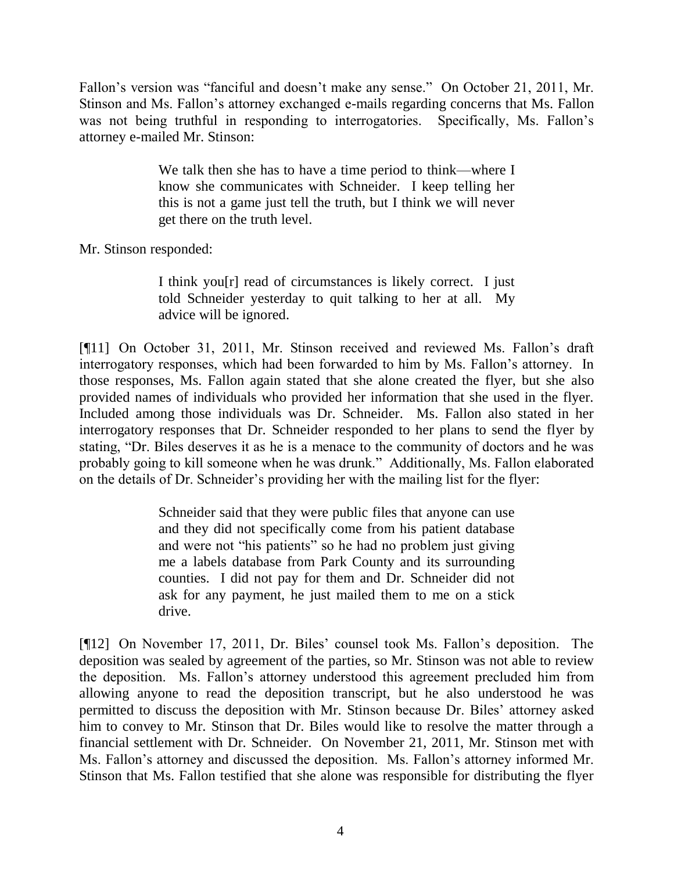Fallon's version was "fanciful and doesn't make any sense." On October 21, 2011, Mr. Stinson and Ms. Fallon's attorney exchanged e-mails regarding concerns that Ms. Fallon was not being truthful in responding to interrogatories. Specifically, Ms. Fallon's attorney e-mailed Mr. Stinson:

> We talk then she has to have a time period to think—where I know she communicates with Schneider. I keep telling her this is not a game just tell the truth, but I think we will never get there on the truth level.

Mr. Stinson responded:

I think you[r] read of circumstances is likely correct. I just told Schneider yesterday to quit talking to her at all. My advice will be ignored.

[¶11] On October 31, 2011, Mr. Stinson received and reviewed Ms. Fallon's draft interrogatory responses, which had been forwarded to him by Ms. Fallon's attorney. In those responses, Ms. Fallon again stated that she alone created the flyer, but she also provided names of individuals who provided her information that she used in the flyer. Included among those individuals was Dr. Schneider. Ms. Fallon also stated in her interrogatory responses that Dr. Schneider responded to her plans to send the flyer by stating, "Dr. Biles deserves it as he is a menace to the community of doctors and he was probably going to kill someone when he was drunk." Additionally, Ms. Fallon elaborated on the details of Dr. Schneider's providing her with the mailing list for the flyer:

> Schneider said that they were public files that anyone can use and they did not specifically come from his patient database and were not "his patients" so he had no problem just giving me a labels database from Park County and its surrounding counties. I did not pay for them and Dr. Schneider did not ask for any payment, he just mailed them to me on a stick drive.

[¶12] On November 17, 2011, Dr. Biles' counsel took Ms. Fallon's deposition. The deposition was sealed by agreement of the parties, so Mr. Stinson was not able to review the deposition. Ms. Fallon's attorney understood this agreement precluded him from allowing anyone to read the deposition transcript, but he also understood he was permitted to discuss the deposition with Mr. Stinson because Dr. Biles' attorney asked him to convey to Mr. Stinson that Dr. Biles would like to resolve the matter through a financial settlement with Dr. Schneider. On November 21, 2011, Mr. Stinson met with Ms. Fallon's attorney and discussed the deposition. Ms. Fallon's attorney informed Mr. Stinson that Ms. Fallon testified that she alone was responsible for distributing the flyer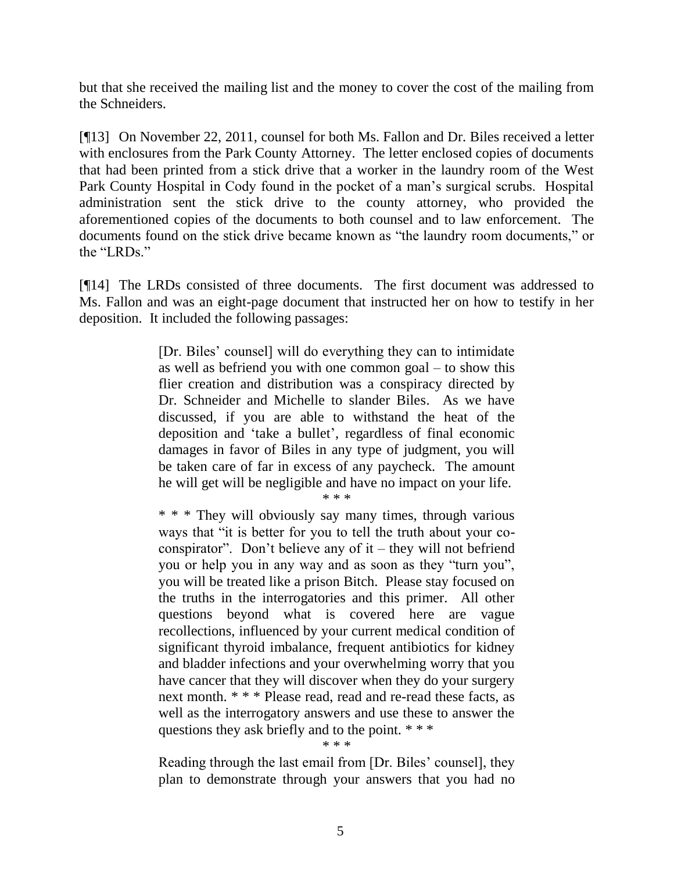but that she received the mailing list and the money to cover the cost of the mailing from the Schneiders.

[¶13] On November 22, 2011, counsel for both Ms. Fallon and Dr. Biles received a letter with enclosures from the Park County Attorney. The letter enclosed copies of documents that had been printed from a stick drive that a worker in the laundry room of the West Park County Hospital in Cody found in the pocket of a man's surgical scrubs. Hospital administration sent the stick drive to the county attorney, who provided the aforementioned copies of the documents to both counsel and to law enforcement. The documents found on the stick drive became known as "the laundry room documents," or the "LRDs."

[¶14] The LRDs consisted of three documents. The first document was addressed to Ms. Fallon and was an eight-page document that instructed her on how to testify in her deposition. It included the following passages:

> [Dr. Biles' counsel] will do everything they can to intimidate as well as befriend you with one common goal – to show this flier creation and distribution was a conspiracy directed by Dr. Schneider and Michelle to slander Biles. As we have discussed, if you are able to withstand the heat of the deposition and 'take a bullet', regardless of final economic damages in favor of Biles in any type of judgment, you will be taken care of far in excess of any paycheck. The amount he will get will be negligible and have no impact on your life.

> > \* \* \*

\* \* \* They will obviously say many times, through various ways that "it is better for you to tell the truth about your coconspirator". Don't believe any of it – they will not befriend you or help you in any way and as soon as they "turn you", you will be treated like a prison Bitch. Please stay focused on the truths in the interrogatories and this primer. All other questions beyond what is covered here are vague recollections, influenced by your current medical condition of significant thyroid imbalance, frequent antibiotics for kidney and bladder infections and your overwhelming worry that you have cancer that they will discover when they do your surgery next month. \* \* \* Please read, read and re-read these facts, as well as the interrogatory answers and use these to answer the questions they ask briefly and to the point. \* \* \* \* \* \*

Reading through the last email from [Dr. Biles' counsel], they plan to demonstrate through your answers that you had no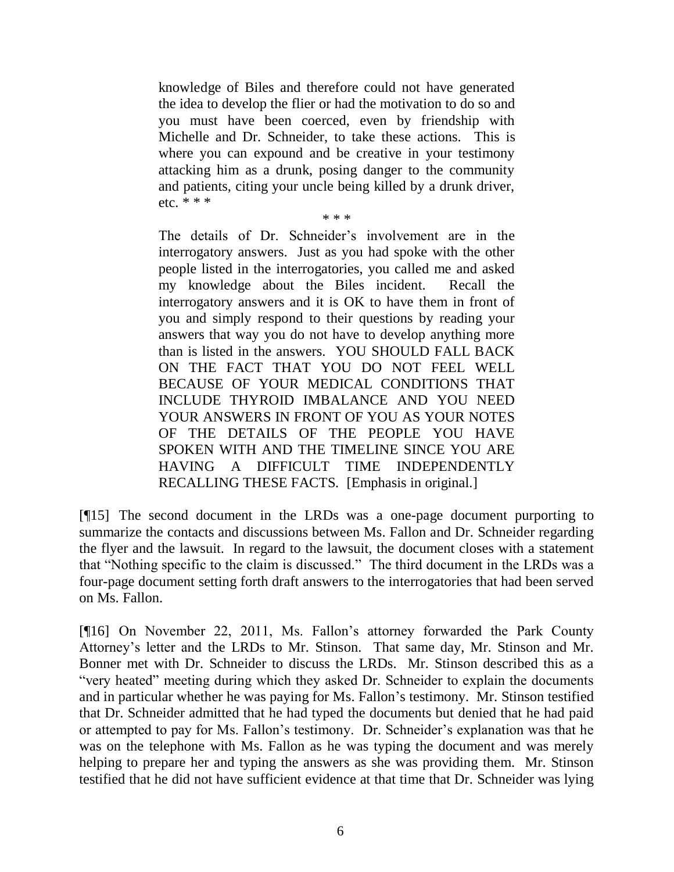knowledge of Biles and therefore could not have generated the idea to develop the flier or had the motivation to do so and you must have been coerced, even by friendship with Michelle and Dr. Schneider, to take these actions. This is where you can expound and be creative in your testimony attacking him as a drunk, posing danger to the community and patients, citing your uncle being killed by a drunk driver, etc.  $* * *$ 

\* \* \*

The details of Dr. Schneider's involvement are in the interrogatory answers. Just as you had spoke with the other people listed in the interrogatories, you called me and asked my knowledge about the Biles incident. Recall the interrogatory answers and it is OK to have them in front of you and simply respond to their questions by reading your answers that way you do not have to develop anything more than is listed in the answers. YOU SHOULD FALL BACK ON THE FACT THAT YOU DO NOT FEEL WELL BECAUSE OF YOUR MEDICAL CONDITIONS THAT INCLUDE THYROID IMBALANCE AND YOU NEED YOUR ANSWERS IN FRONT OF YOU AS YOUR NOTES OF THE DETAILS OF THE PEOPLE YOU HAVE SPOKEN WITH AND THE TIMELINE SINCE YOU ARE HAVING A DIFFICULT TIME INDEPENDENTLY RECALLING THESE FACTS. [Emphasis in original.]

[¶15] The second document in the LRDs was a one-page document purporting to summarize the contacts and discussions between Ms. Fallon and Dr. Schneider regarding the flyer and the lawsuit. In regard to the lawsuit, the document closes with a statement that "Nothing specific to the claim is discussed." The third document in the LRDs was a four-page document setting forth draft answers to the interrogatories that had been served on Ms. Fallon.

[¶16] On November 22, 2011, Ms. Fallon's attorney forwarded the Park County Attorney's letter and the LRDs to Mr. Stinson. That same day, Mr. Stinson and Mr. Bonner met with Dr. Schneider to discuss the LRDs. Mr. Stinson described this as a "very heated" meeting during which they asked Dr. Schneider to explain the documents and in particular whether he was paying for Ms. Fallon's testimony. Mr. Stinson testified that Dr. Schneider admitted that he had typed the documents but denied that he had paid or attempted to pay for Ms. Fallon's testimony. Dr. Schneider's explanation was that he was on the telephone with Ms. Fallon as he was typing the document and was merely helping to prepare her and typing the answers as she was providing them. Mr. Stinson testified that he did not have sufficient evidence at that time that Dr. Schneider was lying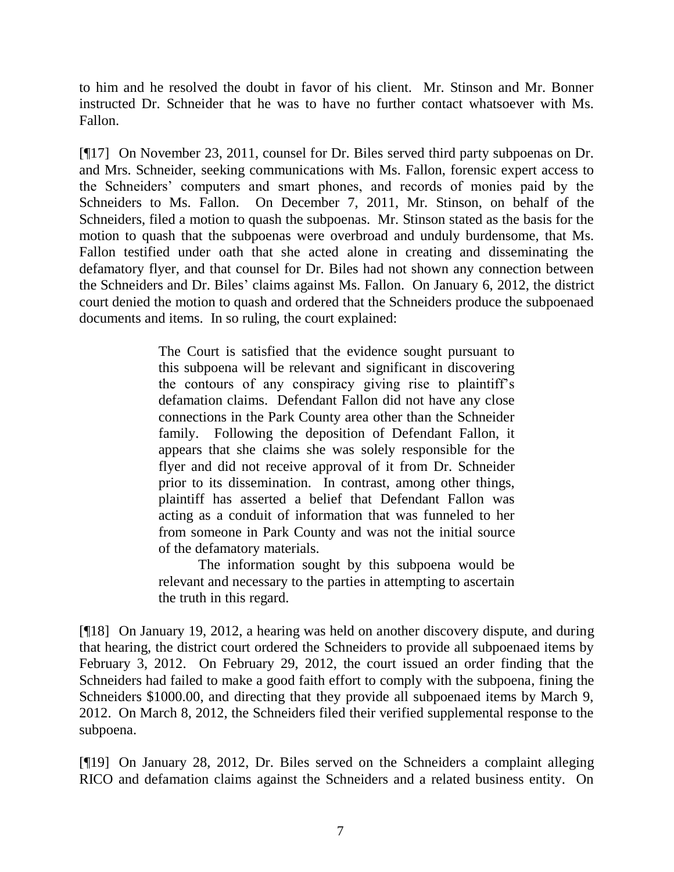to him and he resolved the doubt in favor of his client. Mr. Stinson and Mr. Bonner instructed Dr. Schneider that he was to have no further contact whatsoever with Ms. Fallon.

[¶17] On November 23, 2011, counsel for Dr. Biles served third party subpoenas on Dr. and Mrs. Schneider, seeking communications with Ms. Fallon, forensic expert access to the Schneiders' computers and smart phones, and records of monies paid by the Schneiders to Ms. Fallon. On December 7, 2011, Mr. Stinson, on behalf of the Schneiders, filed a motion to quash the subpoenas. Mr. Stinson stated as the basis for the motion to quash that the subpoenas were overbroad and unduly burdensome, that Ms. Fallon testified under oath that she acted alone in creating and disseminating the defamatory flyer, and that counsel for Dr. Biles had not shown any connection between the Schneiders and Dr. Biles' claims against Ms. Fallon. On January 6, 2012, the district court denied the motion to quash and ordered that the Schneiders produce the subpoenaed documents and items. In so ruling, the court explained:

> The Court is satisfied that the evidence sought pursuant to this subpoena will be relevant and significant in discovering the contours of any conspiracy giving rise to plaintiff's defamation claims. Defendant Fallon did not have any close connections in the Park County area other than the Schneider family. Following the deposition of Defendant Fallon, it appears that she claims she was solely responsible for the flyer and did not receive approval of it from Dr. Schneider prior to its dissemination. In contrast, among other things, plaintiff has asserted a belief that Defendant Fallon was acting as a conduit of information that was funneled to her from someone in Park County and was not the initial source of the defamatory materials.

> The information sought by this subpoena would be relevant and necessary to the parties in attempting to ascertain the truth in this regard.

[¶18] On January 19, 2012, a hearing was held on another discovery dispute, and during that hearing, the district court ordered the Schneiders to provide all subpoenaed items by February 3, 2012. On February 29, 2012, the court issued an order finding that the Schneiders had failed to make a good faith effort to comply with the subpoena, fining the Schneiders \$1000.00, and directing that they provide all subpoenaed items by March 9, 2012. On March 8, 2012, the Schneiders filed their verified supplemental response to the subpoena.

[¶19] On January 28, 2012, Dr. Biles served on the Schneiders a complaint alleging RICO and defamation claims against the Schneiders and a related business entity. On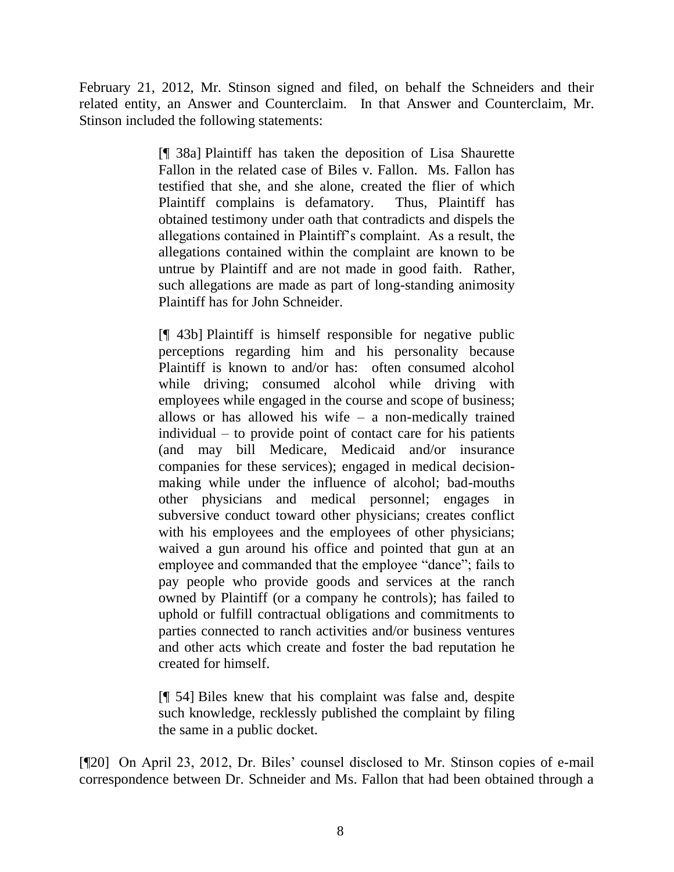February 21, 2012, Mr. Stinson signed and filed, on behalf the Schneiders and their related entity, an Answer and Counterclaim. In that Answer and Counterclaim, Mr. Stinson included the following statements:

> [¶ 38a] Plaintiff has taken the deposition of Lisa Shaurette Fallon in the related case of Biles v. Fallon. Ms. Fallon has testified that she, and she alone, created the flier of which Plaintiff complains is defamatory. Thus, Plaintiff has obtained testimony under oath that contradicts and dispels the allegations contained in Plaintiff's complaint. As a result, the allegations contained within the complaint are known to be untrue by Plaintiff and are not made in good faith. Rather, such allegations are made as part of long-standing animosity Plaintiff has for John Schneider.

> [¶ 43b] Plaintiff is himself responsible for negative public perceptions regarding him and his personality because Plaintiff is known to and/or has: often consumed alcohol while driving; consumed alcohol while driving with employees while engaged in the course and scope of business; allows or has allowed his wife  $-$  a non-medically trained individual – to provide point of contact care for his patients (and may bill Medicare, Medicaid and/or insurance companies for these services); engaged in medical decisionmaking while under the influence of alcohol; bad-mouths other physicians and medical personnel; engages in subversive conduct toward other physicians; creates conflict with his employees and the employees of other physicians; waived a gun around his office and pointed that gun at an employee and commanded that the employee "dance"; fails to pay people who provide goods and services at the ranch owned by Plaintiff (or a company he controls); has failed to uphold or fulfill contractual obligations and commitments to parties connected to ranch activities and/or business ventures and other acts which create and foster the bad reputation he created for himself.

[¶ 54] Biles knew that his complaint was false and, despite such knowledge, recklessly published the complaint by filing the same in a public docket.

[¶20] On April 23, 2012, Dr. Biles' counsel disclosed to Mr. Stinson copies of e-mail correspondence between Dr. Schneider and Ms. Fallon that had been obtained through a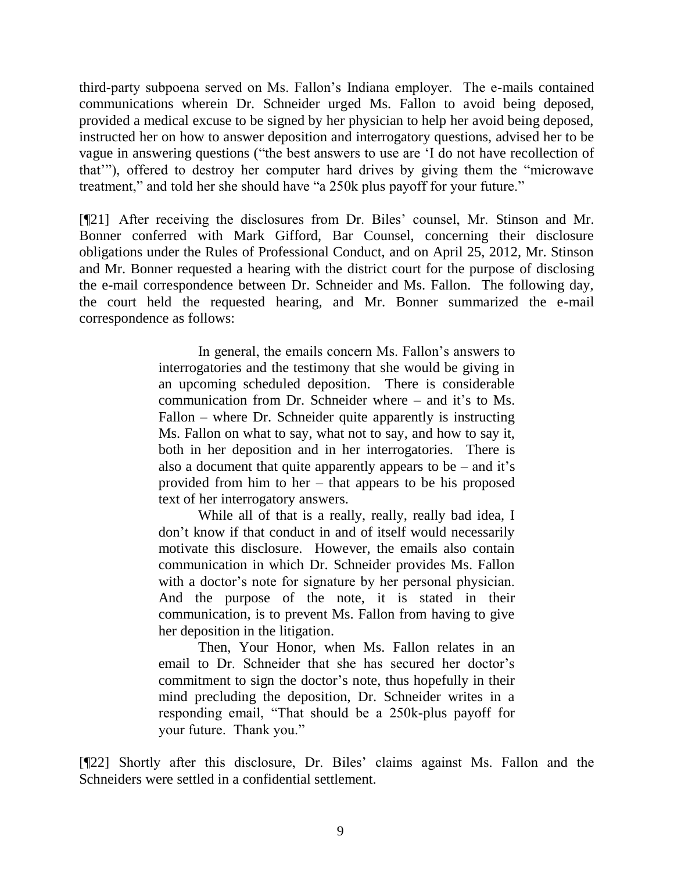third-party subpoena served on Ms. Fallon's Indiana employer. The e-mails contained communications wherein Dr. Schneider urged Ms. Fallon to avoid being deposed, provided a medical excuse to be signed by her physician to help her avoid being deposed, instructed her on how to answer deposition and interrogatory questions, advised her to be vague in answering questions ("the best answers to use are 'I do not have recollection of that'"), offered to destroy her computer hard drives by giving them the "microwave treatment," and told her she should have "a 250k plus payoff for your future."

[¶21] After receiving the disclosures from Dr. Biles' counsel, Mr. Stinson and Mr. Bonner conferred with Mark Gifford, Bar Counsel, concerning their disclosure obligations under the Rules of Professional Conduct, and on April 25, 2012, Mr. Stinson and Mr. Bonner requested a hearing with the district court for the purpose of disclosing the e-mail correspondence between Dr. Schneider and Ms. Fallon. The following day, the court held the requested hearing, and Mr. Bonner summarized the e-mail correspondence as follows:

> In general, the emails concern Ms. Fallon's answers to interrogatories and the testimony that she would be giving in an upcoming scheduled deposition. There is considerable communication from Dr. Schneider where – and it's to Ms. Fallon – where Dr. Schneider quite apparently is instructing Ms. Fallon on what to say, what not to say, and how to say it, both in her deposition and in her interrogatories. There is also a document that quite apparently appears to be – and it's provided from him to her – that appears to be his proposed text of her interrogatory answers.

> While all of that is a really, really, really bad idea, I don't know if that conduct in and of itself would necessarily motivate this disclosure. However, the emails also contain communication in which Dr. Schneider provides Ms. Fallon with a doctor's note for signature by her personal physician. And the purpose of the note, it is stated in their communication, is to prevent Ms. Fallon from having to give her deposition in the litigation.

> Then, Your Honor, when Ms. Fallon relates in an email to Dr. Schneider that she has secured her doctor's commitment to sign the doctor's note, thus hopefully in their mind precluding the deposition, Dr. Schneider writes in a responding email, "That should be a 250k-plus payoff for your future. Thank you."

[¶22] Shortly after this disclosure, Dr. Biles' claims against Ms. Fallon and the Schneiders were settled in a confidential settlement.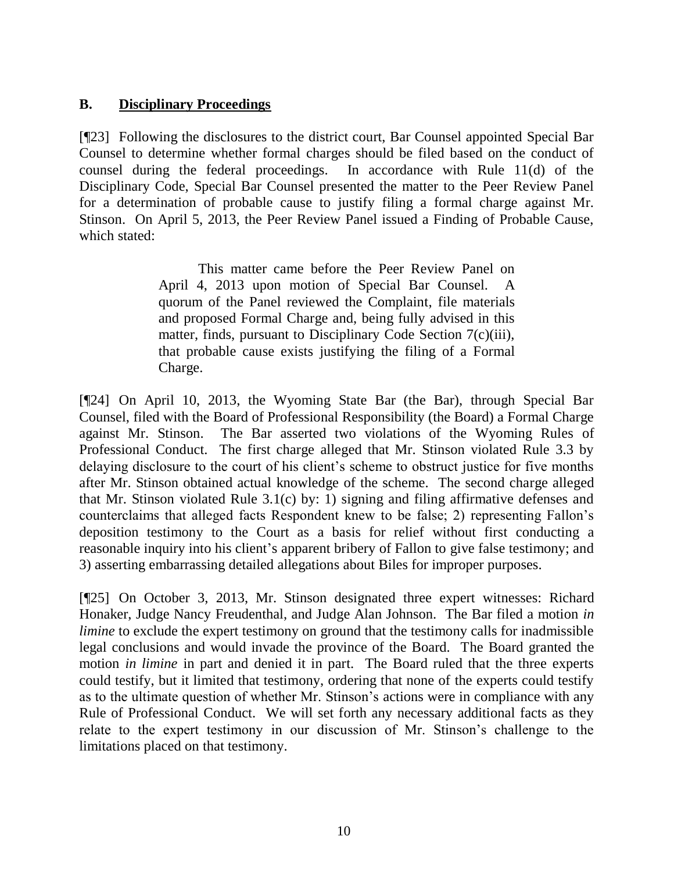## **B. Disciplinary Proceedings**

[¶23] Following the disclosures to the district court, Bar Counsel appointed Special Bar Counsel to determine whether formal charges should be filed based on the conduct of counsel during the federal proceedings. In accordance with Rule 11(d) of the Disciplinary Code, Special Bar Counsel presented the matter to the Peer Review Panel for a determination of probable cause to justify filing a formal charge against Mr. Stinson. On April 5, 2013, the Peer Review Panel issued a Finding of Probable Cause, which stated:

> This matter came before the Peer Review Panel on April 4, 2013 upon motion of Special Bar Counsel. A quorum of the Panel reviewed the Complaint, file materials and proposed Formal Charge and, being fully advised in this matter, finds, pursuant to Disciplinary Code Section 7(c)(iii), that probable cause exists justifying the filing of a Formal Charge.

[¶24] On April 10, 2013, the Wyoming State Bar (the Bar), through Special Bar Counsel, filed with the Board of Professional Responsibility (the Board) a Formal Charge against Mr. Stinson. The Bar asserted two violations of the Wyoming Rules of Professional Conduct. The first charge alleged that Mr. Stinson violated Rule 3.3 by delaying disclosure to the court of his client's scheme to obstruct justice for five months after Mr. Stinson obtained actual knowledge of the scheme. The second charge alleged that Mr. Stinson violated Rule 3.1(c) by: 1) signing and filing affirmative defenses and counterclaims that alleged facts Respondent knew to be false; 2) representing Fallon's deposition testimony to the Court as a basis for relief without first conducting a reasonable inquiry into his client's apparent bribery of Fallon to give false testimony; and 3) asserting embarrassing detailed allegations about Biles for improper purposes.

[¶25] On October 3, 2013, Mr. Stinson designated three expert witnesses: Richard Honaker, Judge Nancy Freudenthal, and Judge Alan Johnson. The Bar filed a motion *in limine* to exclude the expert testimony on ground that the testimony calls for inadmissible legal conclusions and would invade the province of the Board. The Board granted the motion *in limine* in part and denied it in part. The Board ruled that the three experts could testify, but it limited that testimony, ordering that none of the experts could testify as to the ultimate question of whether Mr. Stinson's actions were in compliance with any Rule of Professional Conduct. We will set forth any necessary additional facts as they relate to the expert testimony in our discussion of Mr. Stinson's challenge to the limitations placed on that testimony.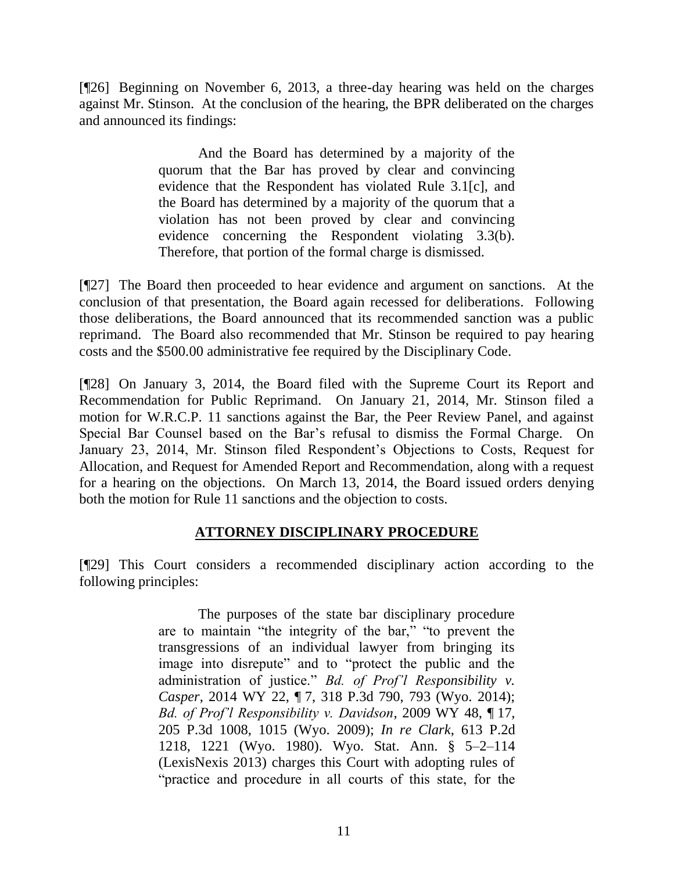[¶26] Beginning on November 6, 2013, a three-day hearing was held on the charges against Mr. Stinson. At the conclusion of the hearing, the BPR deliberated on the charges and announced its findings:

> And the Board has determined by a majority of the quorum that the Bar has proved by clear and convincing evidence that the Respondent has violated Rule 3.1[c], and the Board has determined by a majority of the quorum that a violation has not been proved by clear and convincing evidence concerning the Respondent violating 3.3(b). Therefore, that portion of the formal charge is dismissed.

[¶27] The Board then proceeded to hear evidence and argument on sanctions. At the conclusion of that presentation, the Board again recessed for deliberations. Following those deliberations, the Board announced that its recommended sanction was a public reprimand. The Board also recommended that Mr. Stinson be required to pay hearing costs and the \$500.00 administrative fee required by the Disciplinary Code.

[¶28] On January 3, 2014, the Board filed with the Supreme Court its Report and Recommendation for Public Reprimand. On January 21, 2014, Mr. Stinson filed a motion for W.R.C.P. 11 sanctions against the Bar, the Peer Review Panel, and against Special Bar Counsel based on the Bar's refusal to dismiss the Formal Charge. On January 23, 2014, Mr. Stinson filed Respondent's Objections to Costs, Request for Allocation, and Request for Amended Report and Recommendation, along with a request for a hearing on the objections. On March 13, 2014, the Board issued orders denying both the motion for Rule 11 sanctions and the objection to costs.

## **ATTORNEY DISCIPLINARY PROCEDURE**

[¶29] This Court considers a recommended disciplinary action according to the following principles:

> The purposes of the state bar disciplinary procedure are to maintain "the integrity of the bar," "to prevent the transgressions of an individual lawyer from bringing its image into disrepute" and to "protect the public and the administration of justice." *[Bd. of Prof'l Responsibility v.](http://www.westlaw.com/Link/Document/FullText?findType=Y&serNum=2032754249&pubNum=4645&fi=co_pp_sp_4645_793&originationContext=document&vr=3.0&rs=cblt1.0&transitionType=DocumentItem&contextData=(sc.UserEnteredCitation)#co_pp_sp_4645_793)  Casper*, 2014 WY 22, ¶ [7, 318 P.3d 790, 793 \(Wyo.](http://www.westlaw.com/Link/Document/FullText?findType=Y&serNum=2032754249&pubNum=4645&fi=co_pp_sp_4645_793&originationContext=document&vr=3.0&rs=cblt1.0&transitionType=DocumentItem&contextData=(sc.UserEnteredCitation)#co_pp_sp_4645_793) 2014); *[Bd. of Prof'l Responsibility v. Davidson](http://www.westlaw.com/Link/Document/FullText?findType=Y&serNum=2018556108&pubNum=4645&fi=co_pp_sp_4645_1015&originationContext=document&vr=3.0&rs=cblt1.0&transitionType=DocumentItem&contextData=(sc.UserEnteredCitation)#co_pp_sp_4645_1015)*, 2009 WY 48, ¶ 17, [205 P.3d 1008, 1015 \(Wyo.](http://www.westlaw.com/Link/Document/FullText?findType=Y&serNum=2018556108&pubNum=4645&fi=co_pp_sp_4645_1015&originationContext=document&vr=3.0&rs=cblt1.0&transitionType=DocumentItem&contextData=(sc.UserEnteredCitation)#co_pp_sp_4645_1015) 2009); *[In re Clark](http://www.westlaw.com/Link/Document/FullText?findType=Y&serNum=1980121315&pubNum=661&fi=co_pp_sp_661_1221&originationContext=document&vr=3.0&rs=cblt1.0&transitionType=DocumentItem&contextData=(sc.UserEnteredCitation)#co_pp_sp_661_1221)*, 613 P.2d [1218, 1221 \(Wyo.](http://www.westlaw.com/Link/Document/FullText?findType=Y&serNum=1980121315&pubNum=661&fi=co_pp_sp_661_1221&originationContext=document&vr=3.0&rs=cblt1.0&transitionType=DocumentItem&contextData=(sc.UserEnteredCitation)#co_pp_sp_661_1221) 1980). [Wyo. Stat. Ann. § 5–2–114](http://www.westlaw.com/Link/Document/FullText?findType=L&pubNum=1000377&cite=WYSTS5-2-114&originatingDoc=Icf9bacc51a4c11e490d4edf60ce7d742&refType=LQ&originationContext=document&vr=3.0&rs=cblt1.0&transitionType=DocumentItem&contextData=(sc.UserEnteredCitation))  [\(LexisNexis 2013\)](http://www.westlaw.com/Link/Document/FullText?findType=L&pubNum=1000377&cite=WYSTS5-2-114&originatingDoc=Icf9bacc51a4c11e490d4edf60ce7d742&refType=LQ&originationContext=document&vr=3.0&rs=cblt1.0&transitionType=DocumentItem&contextData=(sc.UserEnteredCitation)) charges this Court with adopting rules of "practice and procedure in all courts of this state, for the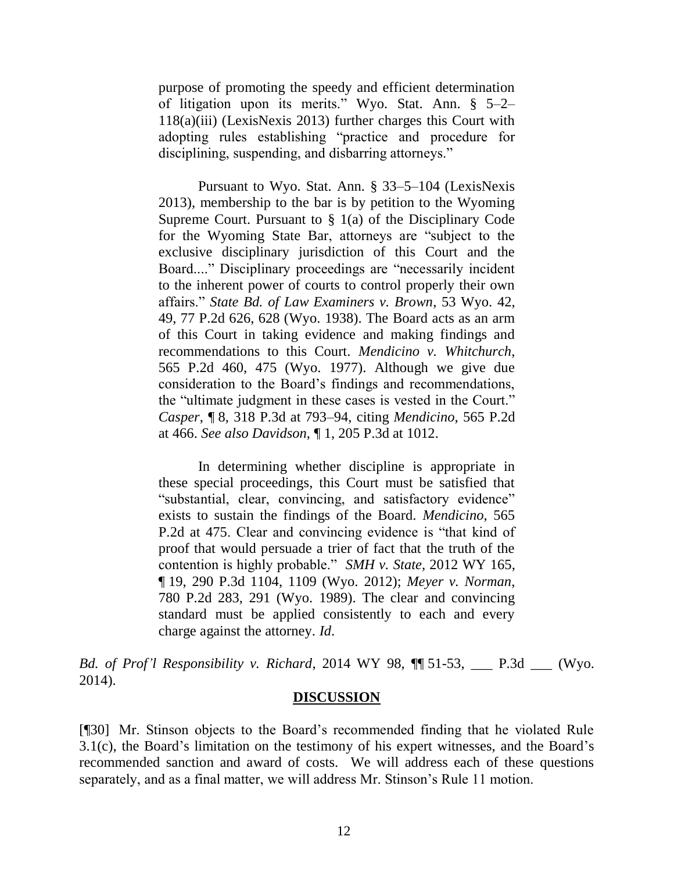purpose of promoting the speedy and efficient determination of litigation upon its merits." [Wyo. Stat. Ann. § 5–2–](http://www.westlaw.com/Link/Document/FullText?findType=L&pubNum=1000377&cite=WYSTS5-2-118&originatingDoc=Icf9bacc51a4c11e490d4edf60ce7d742&refType=LQ&originationContext=document&vr=3.0&rs=cblt1.0&transitionType=DocumentItem&contextData=(sc.UserEnteredCitation)) [118\(a\)\(iii\)](http://www.westlaw.com/Link/Document/FullText?findType=L&pubNum=1000377&cite=WYSTS5-2-118&originatingDoc=Icf9bacc51a4c11e490d4edf60ce7d742&refType=LQ&originationContext=document&vr=3.0&rs=cblt1.0&transitionType=DocumentItem&contextData=(sc.UserEnteredCitation)) (LexisNexis 2013) further charges this Court with adopting rules establishing "practice and procedure for disciplining, suspending, and disbarring attorneys."

Pursuant to [Wyo. Stat. Ann. § 33–5–104 \(LexisNexis](http://www.westlaw.com/Link/Document/FullText?findType=L&pubNum=1000377&cite=WYSTS33-5-104&originatingDoc=Icf9bacc51a4c11e490d4edf60ce7d742&refType=LQ&originationContext=document&vr=3.0&rs=cblt1.0&transitionType=DocumentItem&contextData=(sc.UserEnteredCitation))  [2013\),](http://www.westlaw.com/Link/Document/FullText?findType=L&pubNum=1000377&cite=WYSTS33-5-104&originatingDoc=Icf9bacc51a4c11e490d4edf60ce7d742&refType=LQ&originationContext=document&vr=3.0&rs=cblt1.0&transitionType=DocumentItem&contextData=(sc.UserEnteredCitation)) membership to the bar is by petition to the Wyoming Supreme Court. Pursuant to [§ 1\(a\) of the Disciplinary Code](http://www.westlaw.com/Link/Document/FullText?findType=L&pubNum=1008810&cite=WYRDISCCODES1&originatingDoc=Icf9bacc51a4c11e490d4edf60ce7d742&refType=LQ&originationContext=document&vr=3.0&rs=cblt1.0&transitionType=DocumentItem&contextData=(sc.UserEnteredCitation))  [for the Wyoming State Bar,](http://www.westlaw.com/Link/Document/FullText?findType=L&pubNum=1008810&cite=WYRDISCCODES1&originatingDoc=Icf9bacc51a4c11e490d4edf60ce7d742&refType=LQ&originationContext=document&vr=3.0&rs=cblt1.0&transitionType=DocumentItem&contextData=(sc.UserEnteredCitation)) attorneys are "subject to the exclusive disciplinary jurisdiction of this Court and the Board...." Disciplinary proceedings are "necessarily incident to the inherent power of courts to control properly their own affairs." *[State Bd. of Law Examiners v. Brown](http://www.westlaw.com/Link/Document/FullText?findType=Y&serNum=1938104489&pubNum=661&fi=co_pp_sp_661_628&originationContext=document&vr=3.0&rs=cblt1.0&transitionType=DocumentItem&contextData=(sc.UserEnteredCitation)#co_pp_sp_661_628)*, 53 Wyo. 42, [49, 77 P.2d 626, 628 \(Wyo.](http://www.westlaw.com/Link/Document/FullText?findType=Y&serNum=1938104489&pubNum=661&fi=co_pp_sp_661_628&originationContext=document&vr=3.0&rs=cblt1.0&transitionType=DocumentItem&contextData=(sc.UserEnteredCitation)#co_pp_sp_661_628) 1938). The Board acts as an arm of this Court in taking evidence and making findings and recommendations to this Court. *[Mendicino v. Whitchurch](http://www.westlaw.com/Link/Document/FullText?findType=Y&serNum=1977113142&pubNum=661&fi=co_pp_sp_661_475&originationContext=document&vr=3.0&rs=cblt1.0&transitionType=DocumentItem&contextData=(sc.UserEnteredCitation)#co_pp_sp_661_475)*, [565 P.2d 460, 475 \(Wyo.](http://www.westlaw.com/Link/Document/FullText?findType=Y&serNum=1977113142&pubNum=661&fi=co_pp_sp_661_475&originationContext=document&vr=3.0&rs=cblt1.0&transitionType=DocumentItem&contextData=(sc.UserEnteredCitation)#co_pp_sp_661_475) 1977). Although we give due consideration to the Board's findings and recommendations, the "ultimate judgment in these cases is vested in the Court." *Casper*, ¶ [8, 318 P.3d at 793–94,](http://www.westlaw.com/Link/Document/FullText?findType=Y&serNum=2032754249&pubNum=4645&fi=co_pp_sp_4645_793&originationContext=document&vr=3.0&rs=cblt1.0&transitionType=DocumentItem&contextData=(sc.UserEnteredCitation)#co_pp_sp_4645_793) citing *Mendicino*[, 565 P.2d](http://www.westlaw.com/Link/Document/FullText?findType=Y&serNum=1977113142&pubNum=661&fi=co_pp_sp_661_466&originationContext=document&vr=3.0&rs=cblt1.0&transitionType=DocumentItem&contextData=(sc.UserEnteredCitation)#co_pp_sp_661_466)  [at 466.](http://www.westlaw.com/Link/Document/FullText?findType=Y&serNum=1977113142&pubNum=661&fi=co_pp_sp_661_466&originationContext=document&vr=3.0&rs=cblt1.0&transitionType=DocumentItem&contextData=(sc.UserEnteredCitation)#co_pp_sp_661_466) *See also Davidson*, ¶ [1, 205 P.3d at 1012.](http://www.westlaw.com/Link/Document/FullText?findType=Y&serNum=2018556108&pubNum=4645&fi=co_pp_sp_4645_1012&originationContext=document&vr=3.0&rs=cblt1.0&transitionType=DocumentItem&contextData=(sc.UserEnteredCitation)#co_pp_sp_4645_1012)

In determining whether discipline is appropriate in these special proceedings, this Court must be satisfied that "substantial, clear, convincing, and satisfactory evidence" exists to sustain the findings of the Board. *[Mendicino](http://www.westlaw.com/Link/Document/FullText?findType=Y&serNum=1977113142&pubNum=661&fi=co_pp_sp_661_475&originationContext=document&vr=3.0&rs=cblt1.0&transitionType=DocumentItem&contextData=(sc.UserEnteredCitation)#co_pp_sp_661_475)*, 565 [P.2d at 475.](http://www.westlaw.com/Link/Document/FullText?findType=Y&serNum=1977113142&pubNum=661&fi=co_pp_sp_661_475&originationContext=document&vr=3.0&rs=cblt1.0&transitionType=DocumentItem&contextData=(sc.UserEnteredCitation)#co_pp_sp_661_475) Clear and convincing evidence is "that kind of proof that would persuade a trier of fact that the truth of the contention is highly probable." *[SMH v. State](http://www.westlaw.com/Link/Document/FullText?findType=Y&serNum=2029490794&pubNum=4645&fi=co_pp_sp_4645_1109&originationContext=document&vr=3.0&rs=cblt1.0&transitionType=DocumentItem&contextData=(sc.UserEnteredCitation)#co_pp_sp_4645_1109)*, 2012 WY 165, ¶ [19, 290 P.3d 1104, 1109 \(Wyo.](http://www.westlaw.com/Link/Document/FullText?findType=Y&serNum=2029490794&pubNum=4645&fi=co_pp_sp_4645_1109&originationContext=document&vr=3.0&rs=cblt1.0&transitionType=DocumentItem&contextData=(sc.UserEnteredCitation)#co_pp_sp_4645_1109) 2012); *[Meyer v. Norman](http://www.westlaw.com/Link/Document/FullText?findType=Y&serNum=1989124404&pubNum=661&fi=co_pp_sp_661_291&originationContext=document&vr=3.0&rs=cblt1.0&transitionType=DocumentItem&contextData=(sc.UserEnteredCitation)#co_pp_sp_661_291)*, [780 P.2d 283, 291 \(Wyo.](http://www.westlaw.com/Link/Document/FullText?findType=Y&serNum=1989124404&pubNum=661&fi=co_pp_sp_661_291&originationContext=document&vr=3.0&rs=cblt1.0&transitionType=DocumentItem&contextData=(sc.UserEnteredCitation)#co_pp_sp_661_291) 1989). The clear and convincing standard must be applied consistently to each and every charge against the attorney. *Id*.

*Bd. of Prof'l Responsibility v. Richard*, 2014 WY 98, ¶¶ 51-53, \_\_\_ P.3d \_\_\_ (Wyo. 2014).

## **DISCUSSION**

[¶30] Mr. Stinson objects to the Board's recommended finding that he violated Rule 3.1(c), the Board's limitation on the testimony of his expert witnesses, and the Board's recommended sanction and award of costs. We will address each of these questions separately, and as a final matter, we will address Mr. Stinson's Rule 11 motion.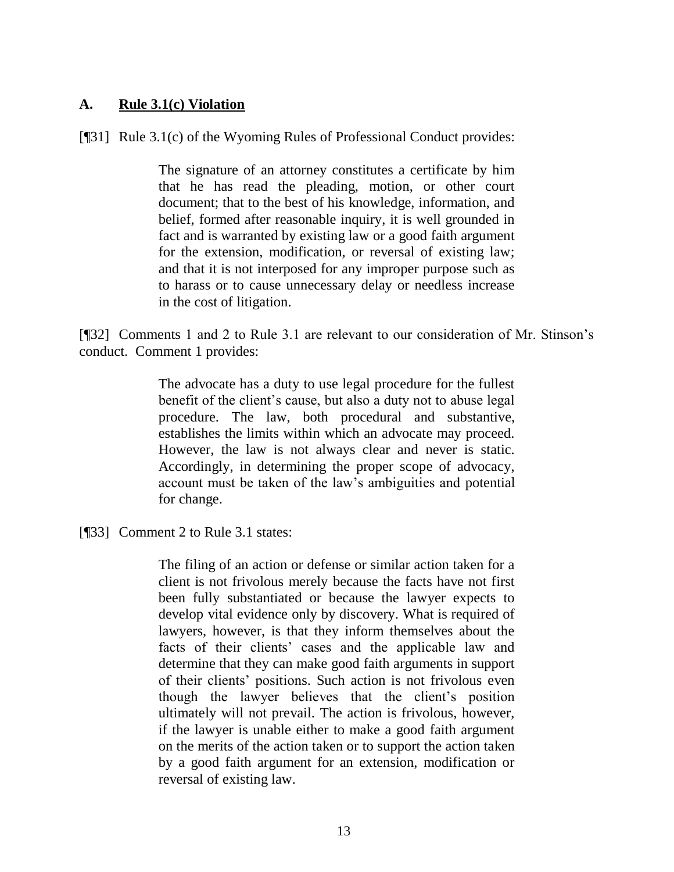## **A. Rule 3.1(c) Violation**

[¶31] Rule 3.1(c) of the Wyoming Rules of Professional Conduct provides:

The signature of an attorney constitutes a certificate by him that he has read the pleading, motion, or other court document; that to the best of his knowledge, information, and belief, formed after reasonable inquiry, it is well grounded in fact and is warranted by existing law or a good faith argument for the extension, modification, or reversal of existing law; and that it is not interposed for any improper purpose such as to harass or to cause unnecessary delay or needless increase in the cost of litigation.

[¶32] Comments 1 and 2 to Rule 3.1 are relevant to our consideration of Mr. Stinson's conduct. Comment 1 provides:

> The advocate has a duty to use legal procedure for the fullest benefit of the client's cause, but also a duty not to abuse legal procedure. The law, both procedural and substantive, establishes the limits within which an advocate may proceed. However, the law is not always clear and never is static. Accordingly, in determining the proper scope of advocacy, account must be taken of the law's ambiguities and potential for change.

[¶33] Comment 2 to Rule 3.1 states:

The filing of an action or defense or similar action taken for a client is not frivolous merely because the facts have not first been fully substantiated or because the lawyer expects to develop vital evidence only by discovery. What is required of lawyers, however, is that they inform themselves about the facts of their clients' cases and the applicable law and determine that they can make good faith arguments in support of their clients' positions. Such action is not frivolous even though the lawyer believes that the client's position ultimately will not prevail. The action is frivolous, however, if the lawyer is unable either to make a good faith argument on the merits of the action taken or to support the action taken by a good faith argument for an extension, modification or reversal of existing law.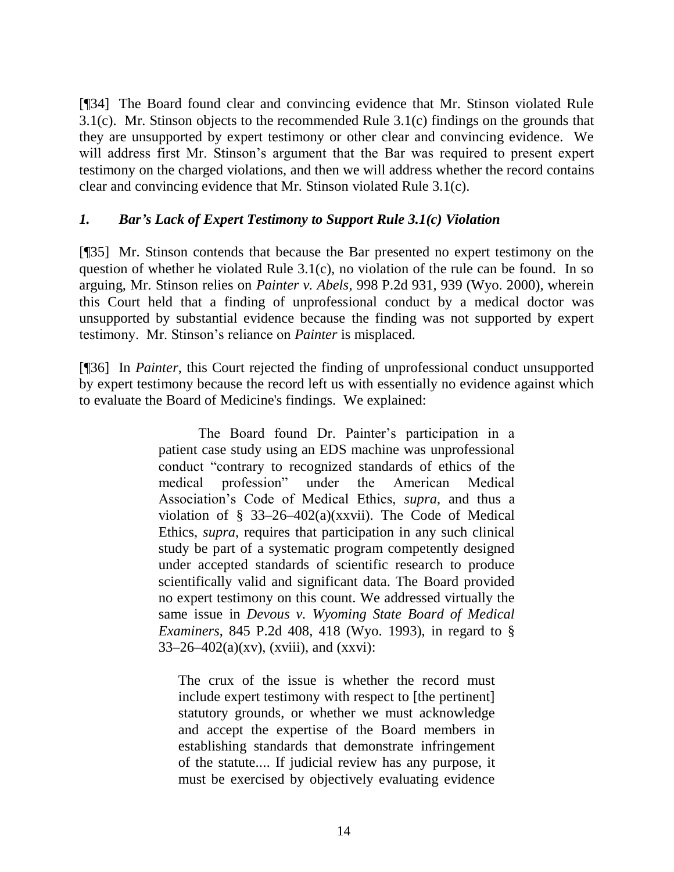[¶34] The Board found clear and convincing evidence that Mr. Stinson violated Rule 3.1(c). Mr. Stinson objects to the recommended Rule 3.1(c) findings on the grounds that they are unsupported by expert testimony or other clear and convincing evidence. We will address first Mr. Stinson's argument that the Bar was required to present expert testimony on the charged violations, and then we will address whether the record contains clear and convincing evidence that Mr. Stinson violated Rule 3.1(c).

## *1. Bar's Lack of Expert Testimony to Support Rule 3.1(c) Violation*

[¶35] Mr. Stinson contends that because the Bar presented no expert testimony on the question of whether he violated Rule 3.1(c), no violation of the rule can be found. In so arguing, Mr. Stinson relies on *Painter v. Abels*, 998 P.2d 931, 939 (Wyo. 2000), wherein this Court held that a finding of unprofessional conduct by a medical doctor was unsupported by substantial evidence because the finding was not supported by expert testimony. Mr. Stinson's reliance on *Painter* is misplaced.

[¶36] In *Painter*, this Court rejected the finding of unprofessional conduct unsupported by expert testimony because the record left us with essentially no evidence against which to evaluate the Board of Medicine's findings. We explained:

> The Board found Dr. Painter's participation in a patient case study using an EDS machine was unprofessional conduct "contrary to recognized standards of ethics of the medical profession" under the American Medical Association's Code of Medical Ethics, *supra*, and thus a violation of [§ 33–26–402\(a\)\(xxvii\).](http://www.westlaw.com/Link/Document/FullText?findType=L&pubNum=1000377&cite=WYSTS33-26-402&originatingDoc=If4eaceb0f55311d99439b076ef9ec4de&refType=SP&originationContext=document&vr=3.0&rs=cblt1.0&transitionType=DocumentItem&contextData=(sc.UserEnteredCitation)#co_pp_9beb000095040) The Code of Medical Ethics, *supra*, requires that participation in any such clinical study be part of a systematic program competently designed under accepted standards of scientific research to produce scientifically valid and significant data. The Board provided no expert testimony on this count. We addressed virtually the same issue in *[Devous v. Wyoming State Board of Medical](http://www.westlaw.com/Link/Document/FullText?findType=Y&serNum=1993032415&pubNum=661&fi=co_pp_sp_661_418&originationContext=document&vr=3.0&rs=cblt1.0&transitionType=DocumentItem&contextData=(sc.UserEnteredCitation)#co_pp_sp_661_418)  Examiners*[, 845 P.2d 408, 418 \(Wyo.](http://www.westlaw.com/Link/Document/FullText?findType=Y&serNum=1993032415&pubNum=661&fi=co_pp_sp_661_418&originationContext=document&vr=3.0&rs=cblt1.0&transitionType=DocumentItem&contextData=(sc.UserEnteredCitation)#co_pp_sp_661_418) 1993), in regard to [§](http://www.westlaw.com/Link/Document/FullText?findType=L&pubNum=1000377&cite=WYSTS33-26-402&originatingDoc=If4eaceb0f55311d99439b076ef9ec4de&refType=SP&originationContext=document&vr=3.0&rs=cblt1.0&transitionType=DocumentItem&contextData=(sc.UserEnteredCitation)#co_pp_effa000081e87)   $33-26-402(a)(xv)$ , (xviii), and (xxvi):

The crux of the issue is whether the record must include expert testimony with respect to [the pertinent] statutory grounds, or whether we must acknowledge and accept the expertise of the Board members in establishing standards that demonstrate infringement of the statute.... If judicial review has any purpose, it must be exercised by objectively evaluating evidence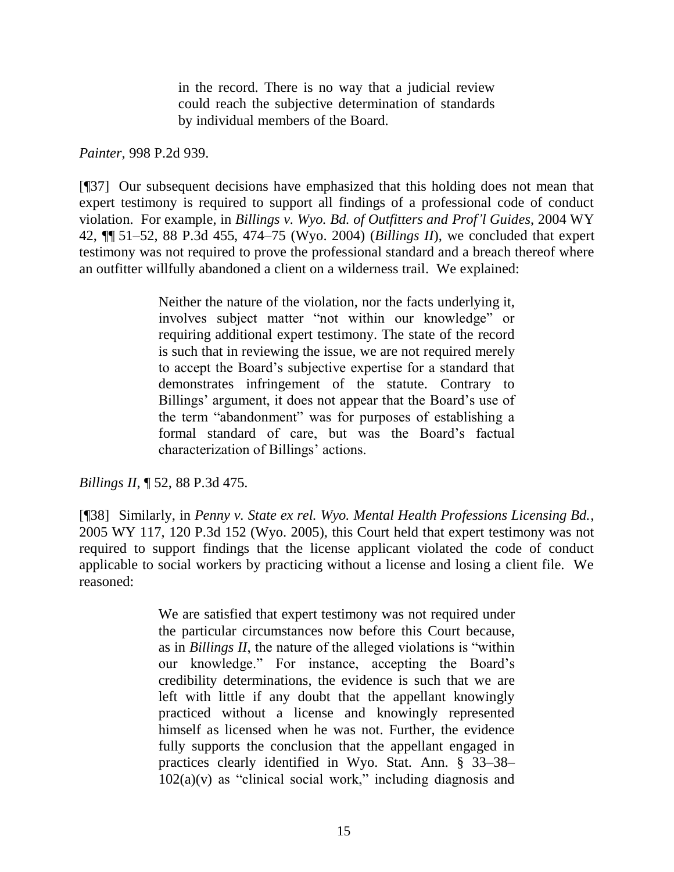in the record. There is no way that a judicial review could reach the subjective determination of standards by individual members of the Board.

### *Painter*, 998 P.2d 939.

[¶37] Our subsequent decisions have emphasized that this holding does not mean that expert testimony is required to support all findings of a professional code of conduct violation. For example, in *Billings v. Wyo. [Bd. of Outfitters and Prof'l Guides](http://www.westlaw.com/Link/Document/FullText?findType=Y&serNum=2004341309&pubNum=4645&fi=co_pp_sp_4645_474&originationContext=document&vr=3.0&rs=cblt1.0&transitionType=DocumentItem&contextData=(sc.UserEnteredCitation)#co_pp_sp_4645_474)*, 2004 WY 42, ¶¶ [51–52, 88 P.3d 455, 474–75 \(Wyo.](http://www.westlaw.com/Link/Document/FullText?findType=Y&serNum=2004341309&pubNum=4645&fi=co_pp_sp_4645_474&originationContext=document&vr=3.0&rs=cblt1.0&transitionType=DocumentItem&contextData=(sc.UserEnteredCitation)#co_pp_sp_4645_474) 2004) (*Billings II*), we concluded that expert testimony was not required to prove the professional standard and a breach thereof where an outfitter willfully abandoned a client on a wilderness trail. We explained:

> Neither the nature of the violation, nor the facts underlying it, involves subject matter "not within our knowledge" or requiring additional expert testimony. The state of the record is such that in reviewing the issue, we are not required merely to accept the Board's subjective expertise for a standard that demonstrates infringement of the statute. Contrary to Billings' argument, it does not appear that the Board's use of the term "abandonment" was for purposes of establishing a formal standard of care, but was the Board's factual characterization of Billings' actions.

*Billings II*, ¶ 52, 88 P.3d 475.

[¶38] Similarly, in *Penny v. State ex rel. Wyo. Mental Health Professions Licensing Bd.*, 2005 WY 117, 120 P.3d 152 (Wyo. 2005), this Court held that expert testimony was not required to support findings that the license applicant violated the code of conduct applicable to social workers by practicing without a license and losing a client file. We reasoned:

> We are satisfied that expert testimony was not required under the particular circumstances now before this Court because, as in *Billings II*, the nature of the alleged violations is "within our knowledge." For instance, accepting the Board's credibility determinations, the evidence is such that we are left with little if any doubt that the appellant knowingly practiced without a license and knowingly represented himself as licensed when he was not. Further, the evidence fully supports the conclusion that the appellant engaged in practices clearly identified in [Wyo. Stat. Ann. § 33–38–](http://www.westlaw.com/Link/Document/FullText?findType=L&pubNum=1000377&cite=WYSTS33-38-102&originatingDoc=I4e277012264411dab072a248d584787d&refType=SP&originationContext=document&vr=3.0&rs=cblt1.0&transitionType=DocumentItem&contextData=(sc.UserEnteredCitation)#co_pp_526e000028653)  $102(a)(v)$  as "clinical social work," including diagnosis and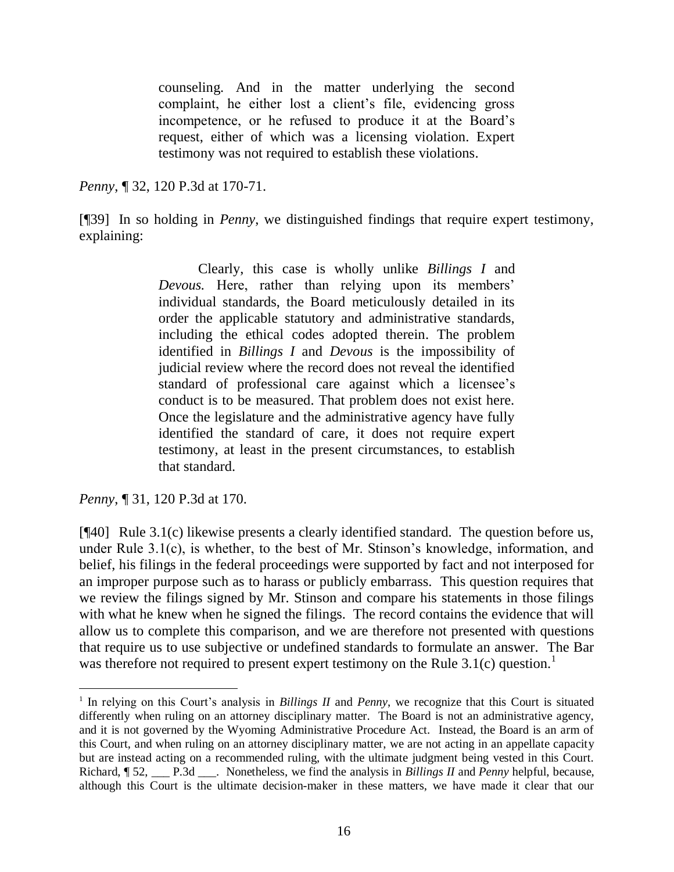counseling. And in the matter underlying the second complaint, he either lost a client's file, evidencing gross incompetence, or he refused to produce it at the Board's request, either of which was a licensing violation. Expert testimony was not required to establish these violations.

*Penny*, ¶ 32, 120 P.3d at 170-71.

[¶39] In so holding in *Penny*, we distinguished findings that require expert testimony, explaining:

> Clearly, this case is wholly unlike *Billings I* and *Devous.* Here, rather than relying upon its members' individual standards, the Board meticulously detailed in its order the applicable statutory and administrative standards, including the ethical codes adopted therein. The problem identified in *Billings I* and *Devous* is the impossibility of judicial review where the record does not reveal the identified standard of professional care against which a licensee's conduct is to be measured. That problem does not exist here. Once the legislature and the administrative agency have fully identified the standard of care, it does not require expert testimony, at least in the present circumstances, to establish that standard.

*Penny*, ¶ 31, 120 P.3d at 170.

l

[¶40] Rule 3.1(c) likewise presents a clearly identified standard. The question before us, under Rule 3.1(c), is whether, to the best of Mr. Stinson's knowledge, information, and belief, his filings in the federal proceedings were supported by fact and not interposed for an improper purpose such as to harass or publicly embarrass. This question requires that we review the filings signed by Mr. Stinson and compare his statements in those filings with what he knew when he signed the filings. The record contains the evidence that will allow us to complete this comparison, and we are therefore not presented with questions that require us to use subjective or undefined standards to formulate an answer. The Bar was therefore not required to present expert testimony on the Rule  $3.1(c)$  question.<sup>1</sup>

<sup>&</sup>lt;sup>1</sup> In relying on this Court's analysis in *Billings II* and *Penny*, we recognize that this Court is situated differently when ruling on an attorney disciplinary matter. The Board is not an administrative agency, and it is not governed by the Wyoming Administrative Procedure Act. Instead, the Board is an arm of this Court, and when ruling on an attorney disciplinary matter, we are not acting in an appellate capacity but are instead acting on a recommended ruling, with the ultimate judgment being vested in this Court. Richard, ¶ 52, \_\_\_ P.3d \_\_\_. Nonetheless, we find the analysis in *Billings II* and *Penny* helpful, because, although this Court is the ultimate decision-maker in these matters, we have made it clear that our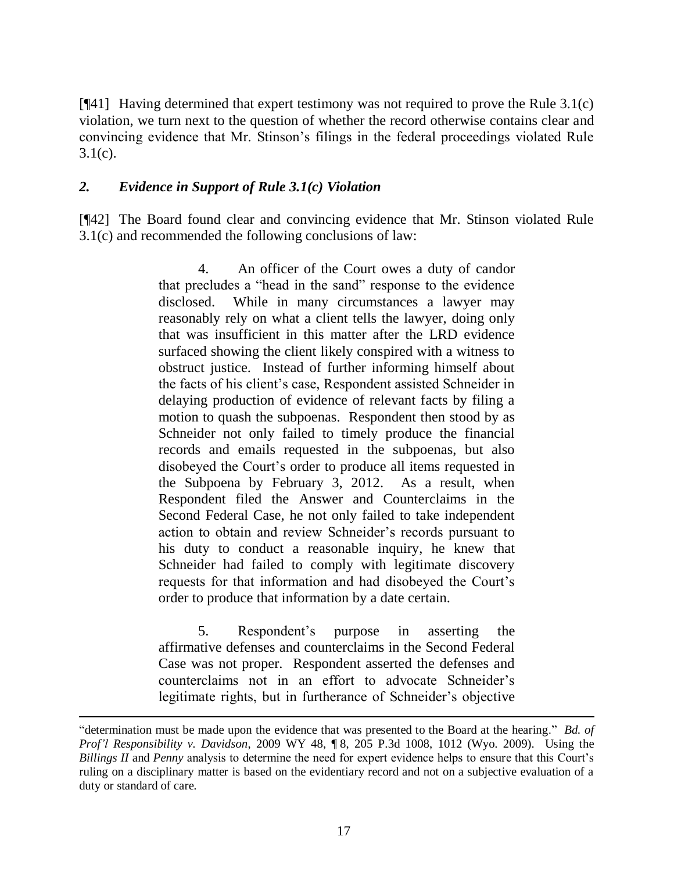[¶41] Having determined that expert testimony was not required to prove the Rule 3.1(c) violation, we turn next to the question of whether the record otherwise contains clear and convincing evidence that Mr. Stinson's filings in the federal proceedings violated Rule  $3.1(c)$ .

## *2. Evidence in Support of Rule 3.1(c) Violation*

l

[¶42] The Board found clear and convincing evidence that Mr. Stinson violated Rule 3.1(c) and recommended the following conclusions of law:

> 4. An officer of the Court owes a duty of candor that precludes a "head in the sand" response to the evidence disclosed. While in many circumstances a lawyer may reasonably rely on what a client tells the lawyer, doing only that was insufficient in this matter after the LRD evidence surfaced showing the client likely conspired with a witness to obstruct justice. Instead of further informing himself about the facts of his client's case, Respondent assisted Schneider in delaying production of evidence of relevant facts by filing a motion to quash the subpoenas. Respondent then stood by as Schneider not only failed to timely produce the financial records and emails requested in the subpoenas, but also disobeyed the Court's order to produce all items requested in the Subpoena by February 3, 2012. As a result, when Respondent filed the Answer and Counterclaims in the Second Federal Case, he not only failed to take independent action to obtain and review Schneider's records pursuant to his duty to conduct a reasonable inquiry, he knew that Schneider had failed to comply with legitimate discovery requests for that information and had disobeyed the Court's order to produce that information by a date certain.

> 5. Respondent's purpose in asserting the affirmative defenses and counterclaims in the Second Federal Case was not proper. Respondent asserted the defenses and counterclaims not in an effort to advocate Schneider's legitimate rights, but in furtherance of Schneider's objective

<sup>&</sup>quot;determination must be made upon the evidence that was presented to the Board at the hearing." *Bd. of Prof'l Responsibility v. Davidson*, 2009 WY 48, ¶ 8, 205 P.3d 1008, 1012 (Wyo. 2009). Using the *Billings II* and *Penny* analysis to determine the need for expert evidence helps to ensure that this Court's ruling on a disciplinary matter is based on the evidentiary record and not on a subjective evaluation of a duty or standard of care.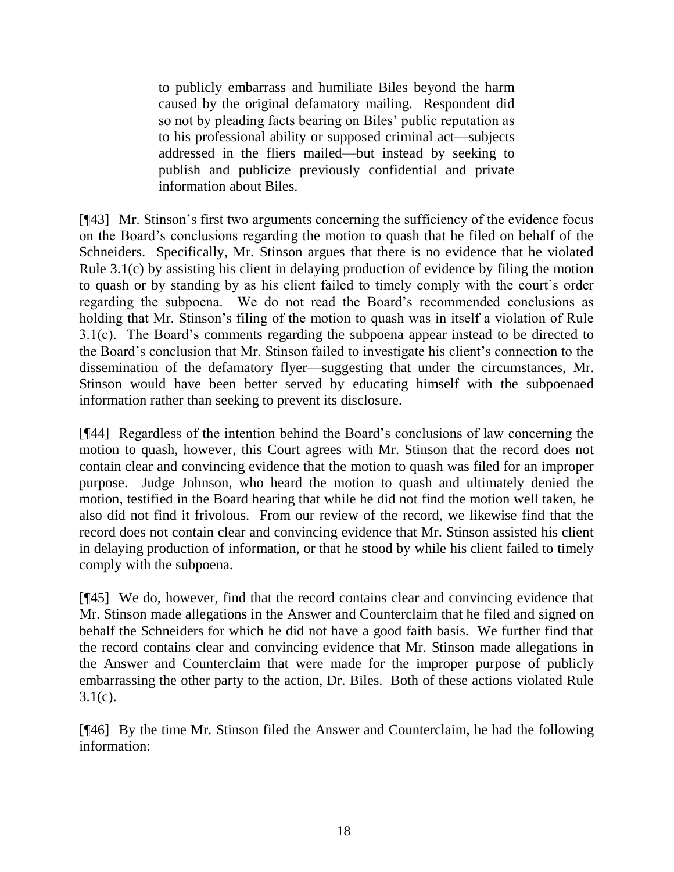to publicly embarrass and humiliate Biles beyond the harm caused by the original defamatory mailing. Respondent did so not by pleading facts bearing on Biles' public reputation as to his professional ability or supposed criminal act—subjects addressed in the fliers mailed—but instead by seeking to publish and publicize previously confidential and private information about Biles.

[¶43] Mr. Stinson's first two arguments concerning the sufficiency of the evidence focus on the Board's conclusions regarding the motion to quash that he filed on behalf of the Schneiders. Specifically, Mr. Stinson argues that there is no evidence that he violated Rule 3.1(c) by assisting his client in delaying production of evidence by filing the motion to quash or by standing by as his client failed to timely comply with the court's order regarding the subpoena. We do not read the Board's recommended conclusions as holding that Mr. Stinson's filing of the motion to quash was in itself a violation of Rule 3.1(c). The Board's comments regarding the subpoena appear instead to be directed to the Board's conclusion that Mr. Stinson failed to investigate his client's connection to the dissemination of the defamatory flyer—suggesting that under the circumstances, Mr. Stinson would have been better served by educating himself with the subpoenaed information rather than seeking to prevent its disclosure.

[¶44] Regardless of the intention behind the Board's conclusions of law concerning the motion to quash, however, this Court agrees with Mr. Stinson that the record does not contain clear and convincing evidence that the motion to quash was filed for an improper purpose. Judge Johnson, who heard the motion to quash and ultimately denied the motion, testified in the Board hearing that while he did not find the motion well taken, he also did not find it frivolous. From our review of the record, we likewise find that the record does not contain clear and convincing evidence that Mr. Stinson assisted his client in delaying production of information, or that he stood by while his client failed to timely comply with the subpoena.

[¶45] We do, however, find that the record contains clear and convincing evidence that Mr. Stinson made allegations in the Answer and Counterclaim that he filed and signed on behalf the Schneiders for which he did not have a good faith basis. We further find that the record contains clear and convincing evidence that Mr. Stinson made allegations in the Answer and Counterclaim that were made for the improper purpose of publicly embarrassing the other party to the action, Dr. Biles. Both of these actions violated Rule  $3.1(c)$ .

[¶46] By the time Mr. Stinson filed the Answer and Counterclaim, he had the following information: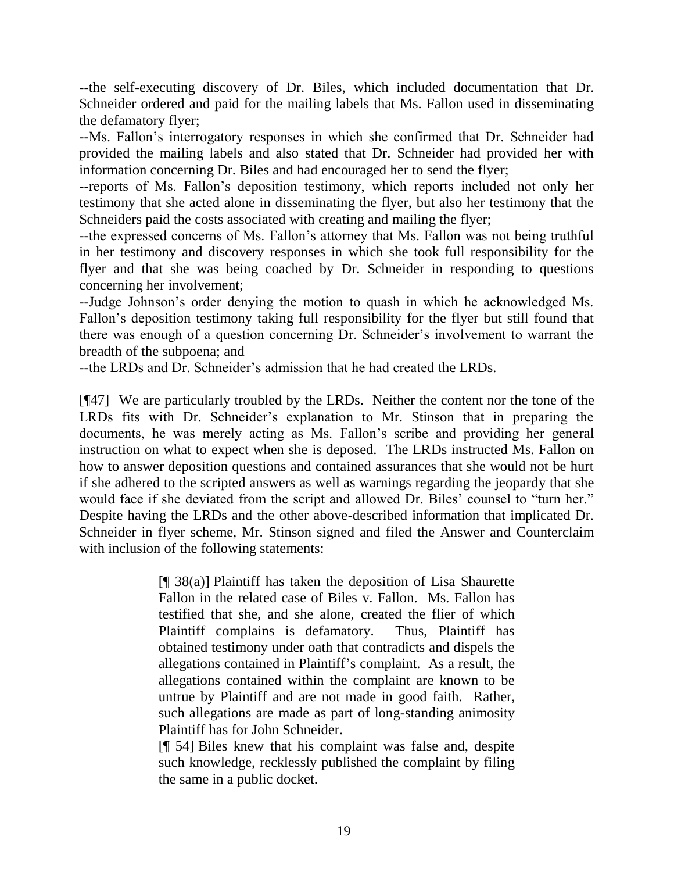--the self-executing discovery of Dr. Biles, which included documentation that Dr. Schneider ordered and paid for the mailing labels that Ms. Fallon used in disseminating the defamatory flyer;

--Ms. Fallon's interrogatory responses in which she confirmed that Dr. Schneider had provided the mailing labels and also stated that Dr. Schneider had provided her with information concerning Dr. Biles and had encouraged her to send the flyer;

--reports of Ms. Fallon's deposition testimony, which reports included not only her testimony that she acted alone in disseminating the flyer, but also her testimony that the Schneiders paid the costs associated with creating and mailing the flyer;

--the expressed concerns of Ms. Fallon's attorney that Ms. Fallon was not being truthful in her testimony and discovery responses in which she took full responsibility for the flyer and that she was being coached by Dr. Schneider in responding to questions concerning her involvement;

--Judge Johnson's order denying the motion to quash in which he acknowledged Ms. Fallon's deposition testimony taking full responsibility for the flyer but still found that there was enough of a question concerning Dr. Schneider's involvement to warrant the breadth of the subpoena; and

--the LRDs and Dr. Schneider's admission that he had created the LRDs.

[¶47] We are particularly troubled by the LRDs. Neither the content nor the tone of the LRDs fits with Dr. Schneider's explanation to Mr. Stinson that in preparing the documents, he was merely acting as Ms. Fallon's scribe and providing her general instruction on what to expect when she is deposed. The LRDs instructed Ms. Fallon on how to answer deposition questions and contained assurances that she would not be hurt if she adhered to the scripted answers as well as warnings regarding the jeopardy that she would face if she deviated from the script and allowed Dr. Biles' counsel to "turn her." Despite having the LRDs and the other above-described information that implicated Dr. Schneider in flyer scheme, Mr. Stinson signed and filed the Answer and Counterclaim with inclusion of the following statements:

> $[\n{\text{I}}\, 38(a)]$  Plaintiff has taken the deposition of Lisa Shaurette Fallon in the related case of Biles v. Fallon. Ms. Fallon has testified that she, and she alone, created the flier of which Plaintiff complains is defamatory. Thus, Plaintiff has obtained testimony under oath that contradicts and dispels the allegations contained in Plaintiff's complaint. As a result, the allegations contained within the complaint are known to be untrue by Plaintiff and are not made in good faith. Rather, such allegations are made as part of long-standing animosity Plaintiff has for John Schneider.

> [¶ 54] Biles knew that his complaint was false and, despite such knowledge, recklessly published the complaint by filing the same in a public docket.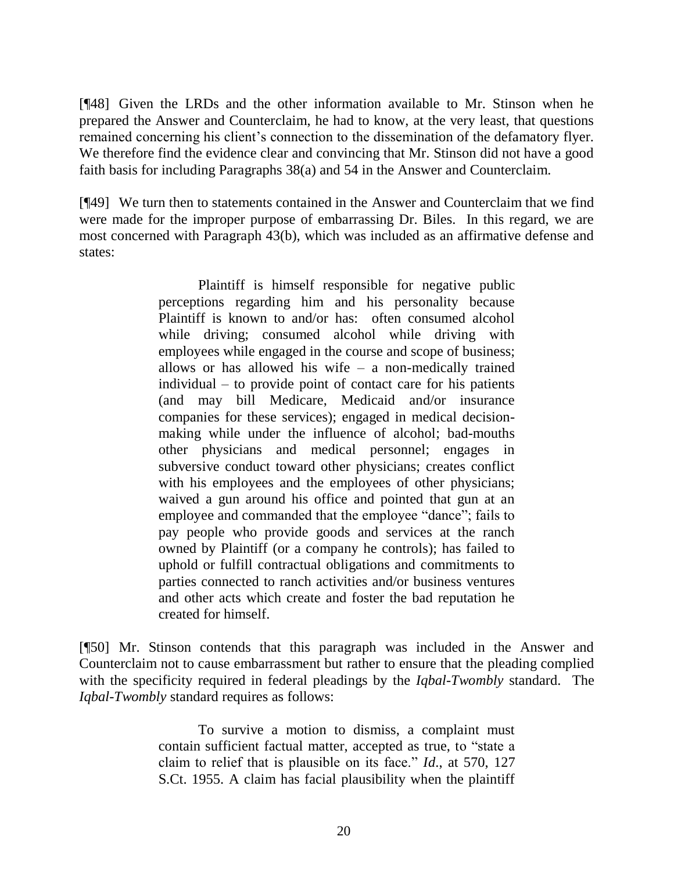[¶48] Given the LRDs and the other information available to Mr. Stinson when he prepared the Answer and Counterclaim, he had to know, at the very least, that questions remained concerning his client's connection to the dissemination of the defamatory flyer. We therefore find the evidence clear and convincing that Mr. Stinson did not have a good faith basis for including Paragraphs 38(a) and 54 in the Answer and Counterclaim.

[¶49] We turn then to statements contained in the Answer and Counterclaim that we find were made for the improper purpose of embarrassing Dr. Biles. In this regard, we are most concerned with Paragraph 43(b), which was included as an affirmative defense and states:

> Plaintiff is himself responsible for negative public perceptions regarding him and his personality because Plaintiff is known to and/or has: often consumed alcohol while driving; consumed alcohol while driving with employees while engaged in the course and scope of business; allows or has allowed his wife – a non-medically trained individual – to provide point of contact care for his patients (and may bill Medicare, Medicaid and/or insurance companies for these services); engaged in medical decisionmaking while under the influence of alcohol; bad-mouths other physicians and medical personnel; engages in subversive conduct toward other physicians; creates conflict with his employees and the employees of other physicians; waived a gun around his office and pointed that gun at an employee and commanded that the employee "dance"; fails to pay people who provide goods and services at the ranch owned by Plaintiff (or a company he controls); has failed to uphold or fulfill contractual obligations and commitments to parties connected to ranch activities and/or business ventures and other acts which create and foster the bad reputation he created for himself.

[¶50] Mr. Stinson contends that this paragraph was included in the Answer and Counterclaim not to cause embarrassment but rather to ensure that the pleading complied with the specificity required in federal pleadings by the *Iqbal-Twombly* standard. The *Iqbal-Twombly* standard requires as follows:

> To survive a motion to dismiss, a complaint must contain sufficient factual matter, accepted as true, to "state a claim to relief that is plausible on its face." *Id*[., at 570, 127](http://www.westlaw.com/Link/Document/FullText?findType=Y&serNum=2012293296&pubNum=708&originationContext=document&vr=3.0&rs=cblt1.0&transitionType=DocumentItem&contextData=(sc.UserEnteredCitation))  [S.Ct. 1955.](http://www.westlaw.com/Link/Document/FullText?findType=Y&serNum=2012293296&pubNum=708&originationContext=document&vr=3.0&rs=cblt1.0&transitionType=DocumentItem&contextData=(sc.UserEnteredCitation)) A claim has facial plausibility when the plaintiff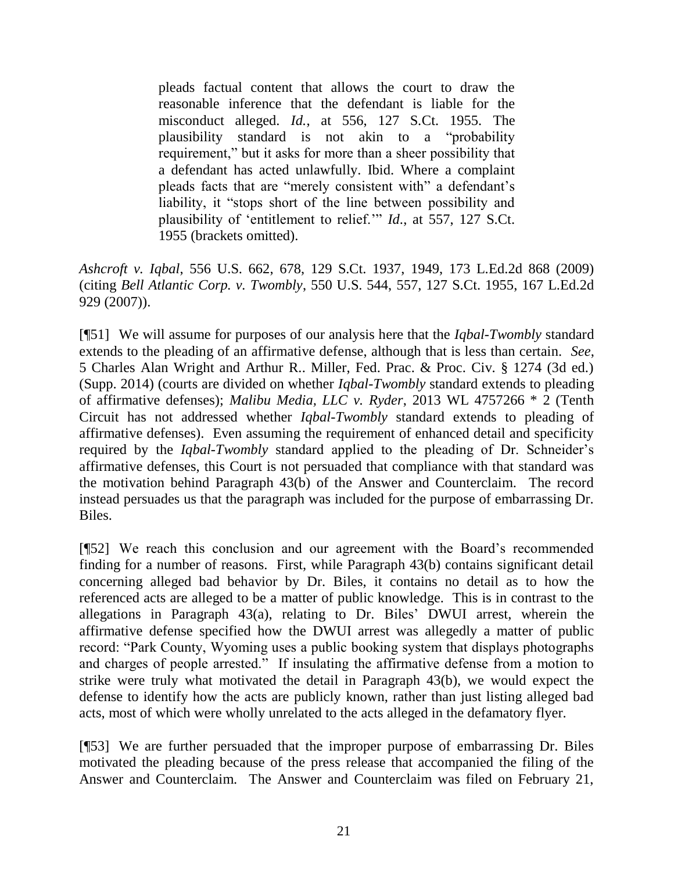pleads factual content that allows the court to draw the reasonable inference that the defendant is liable for the misconduct alleged. *Id.*[, at 556, 127 S.Ct. 1955.](http://www.westlaw.com/Link/Document/FullText?findType=Y&serNum=2012293296&pubNum=708&originationContext=document&vr=3.0&rs=cblt1.0&transitionType=DocumentItem&contextData=(sc.UserEnteredCitation)) The plausibility standard is not akin to a "probability requirement," but it asks for more than a sheer possibility that a defendant has acted unlawfully. [Ibid.](http://www.westlaw.com/Link/Document/FullText?findType=Y&serNum=2012293296&originationContext=document&vr=3.0&rs=cblt1.0&transitionType=DocumentItem&contextData=(sc.UserEnteredCitation)) Where a complaint pleads facts that are "merely consistent with" a defendant's liability, it "stops short of the line between possibility and plausibility of 'entitlement to relief.'" *Id*[., at 557, 127 S.Ct.](http://www.westlaw.com/Link/Document/FullText?findType=Y&serNum=2012293296&pubNum=708&originationContext=document&vr=3.0&rs=cblt1.0&transitionType=DocumentItem&contextData=(sc.UserEnteredCitation))  [1955](http://www.westlaw.com/Link/Document/FullText?findType=Y&serNum=2012293296&pubNum=708&originationContext=document&vr=3.0&rs=cblt1.0&transitionType=DocumentItem&contextData=(sc.UserEnteredCitation)) (brackets omitted).

*Ashcroft v. Iqbal*, 556 U.S. 662, 678, 129 S.Ct. 1937, 1949, 173 L.Ed.2d 868 (2009) (citing *Bell Atlantic Corp. v. Twombly*[, 550 U.S. 544, 557, 127 S.Ct. 1955, 167 L.Ed.2d](http://www.westlaw.com/Link/Document/FullText?findType=Y&serNum=2012293296&pubNum=708&originationContext=document&vr=3.0&rs=cblt1.0&transitionType=DocumentItem&contextData=(sc.UserEnteredCitation))  [929 \(2007\)\)](http://www.westlaw.com/Link/Document/FullText?findType=Y&serNum=2012293296&pubNum=708&originationContext=document&vr=3.0&rs=cblt1.0&transitionType=DocumentItem&contextData=(sc.UserEnteredCitation)).

[¶51] We will assume for purposes of our analysis here that the *Iqbal-Twombly* standard extends to the pleading of an affirmative defense, although that is less than certain. *See*, 5 Charles Alan Wright and Arthur R.. Miller, Fed. Prac. & Proc. Civ. § 1274 (3d ed.) (Supp. 2014) (courts are divided on whether *Iqbal-Twombly* standard extends to pleading of affirmative defenses); *Malibu Media, LLC v. Ryder*, 2013 WL 4757266 \* 2 (Tenth Circuit has not addressed whether *Iqbal-Twombly* standard extends to pleading of affirmative defenses). Even assuming the requirement of enhanced detail and specificity required by the *Iqbal-Twombly* standard applied to the pleading of Dr. Schneider's affirmative defenses, this Court is not persuaded that compliance with that standard was the motivation behind Paragraph 43(b) of the Answer and Counterclaim. The record instead persuades us that the paragraph was included for the purpose of embarrassing Dr. Biles.

[¶52] We reach this conclusion and our agreement with the Board's recommended finding for a number of reasons. First, while Paragraph 43(b) contains significant detail concerning alleged bad behavior by Dr. Biles, it contains no detail as to how the referenced acts are alleged to be a matter of public knowledge. This is in contrast to the allegations in Paragraph 43(a), relating to Dr. Biles' DWUI arrest, wherein the affirmative defense specified how the DWUI arrest was allegedly a matter of public record: "Park County, Wyoming uses a public booking system that displays photographs and charges of people arrested." If insulating the affirmative defense from a motion to strike were truly what motivated the detail in Paragraph 43(b), we would expect the defense to identify how the acts are publicly known, rather than just listing alleged bad acts, most of which were wholly unrelated to the acts alleged in the defamatory flyer.

[¶53] We are further persuaded that the improper purpose of embarrassing Dr. Biles motivated the pleading because of the press release that accompanied the filing of the Answer and Counterclaim. The Answer and Counterclaim was filed on February 21,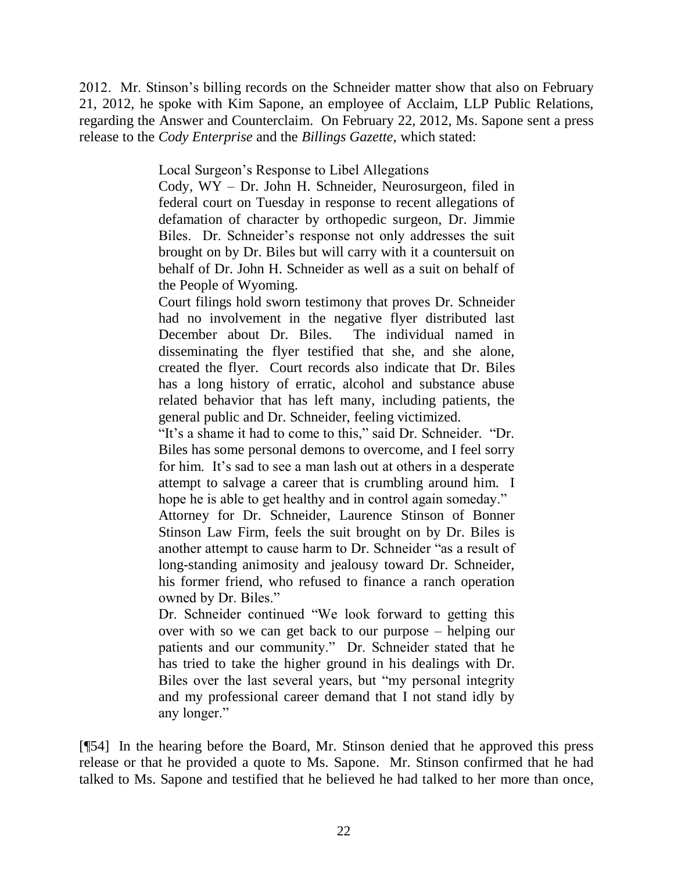2012. Mr. Stinson's billing records on the Schneider matter show that also on February 21, 2012, he spoke with Kim Sapone, an employee of Acclaim, LLP Public Relations, regarding the Answer and Counterclaim. On February 22, 2012, Ms. Sapone sent a press release to the *Cody Enterprise* and the *Billings Gazette*, which stated:

Local Surgeon's Response to Libel Allegations

Cody, WY – Dr. John H. Schneider, Neurosurgeon, filed in federal court on Tuesday in response to recent allegations of defamation of character by orthopedic surgeon, Dr. Jimmie Biles. Dr. Schneider's response not only addresses the suit brought on by Dr. Biles but will carry with it a countersuit on behalf of Dr. John H. Schneider as well as a suit on behalf of the People of Wyoming.

Court filings hold sworn testimony that proves Dr. Schneider had no involvement in the negative flyer distributed last December about Dr. Biles. The individual named in disseminating the flyer testified that she, and she alone, created the flyer. Court records also indicate that Dr. Biles has a long history of erratic, alcohol and substance abuse related behavior that has left many, including patients, the general public and Dr. Schneider, feeling victimized.

"It's a shame it had to come to this," said Dr. Schneider. "Dr. Biles has some personal demons to overcome, and I feel sorry for him. It's sad to see a man lash out at others in a desperate attempt to salvage a career that is crumbling around him. I hope he is able to get healthy and in control again someday."

Attorney for Dr. Schneider, Laurence Stinson of Bonner Stinson Law Firm, feels the suit brought on by Dr. Biles is another attempt to cause harm to Dr. Schneider "as a result of long-standing animosity and jealousy toward Dr. Schneider, his former friend, who refused to finance a ranch operation owned by Dr. Biles."

Dr. Schneider continued "We look forward to getting this over with so we can get back to our purpose – helping our patients and our community." Dr. Schneider stated that he has tried to take the higher ground in his dealings with Dr. Biles over the last several years, but "my personal integrity and my professional career demand that I not stand idly by any longer."

[¶54] In the hearing before the Board, Mr. Stinson denied that he approved this press release or that he provided a quote to Ms. Sapone. Mr. Stinson confirmed that he had talked to Ms. Sapone and testified that he believed he had talked to her more than once,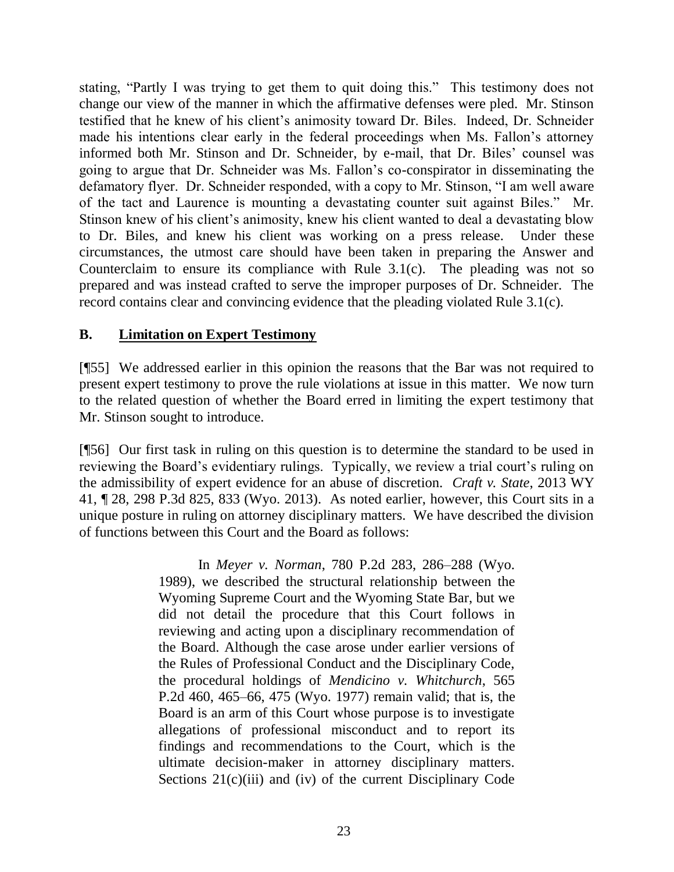stating, "Partly I was trying to get them to quit doing this." This testimony does not change our view of the manner in which the affirmative defenses were pled. Mr. Stinson testified that he knew of his client's animosity toward Dr. Biles. Indeed, Dr. Schneider made his intentions clear early in the federal proceedings when Ms. Fallon's attorney informed both Mr. Stinson and Dr. Schneider, by e-mail, that Dr. Biles' counsel was going to argue that Dr. Schneider was Ms. Fallon's co-conspirator in disseminating the defamatory flyer. Dr. Schneider responded, with a copy to Mr. Stinson, "I am well aware of the tact and Laurence is mounting a devastating counter suit against Biles." Mr. Stinson knew of his client's animosity, knew his client wanted to deal a devastating blow to Dr. Biles, and knew his client was working on a press release. Under these circumstances, the utmost care should have been taken in preparing the Answer and Counterclaim to ensure its compliance with Rule 3.1(c). The pleading was not so prepared and was instead crafted to serve the improper purposes of Dr. Schneider. The record contains clear and convincing evidence that the pleading violated Rule 3.1(c).

# **B. Limitation on Expert Testimony**

[¶55] We addressed earlier in this opinion the reasons that the Bar was not required to present expert testimony to prove the rule violations at issue in this matter. We now turn to the related question of whether the Board erred in limiting the expert testimony that Mr. Stinson sought to introduce.

[¶56] Our first task in ruling on this question is to determine the standard to be used in reviewing the Board's evidentiary rulings. Typically, we review a trial court's ruling on the admissibility of expert evidence for an abuse of discretion. *Craft v. State*, 2013 WY 41, ¶ 28, 298 P.3d 825, 833 (Wyo. 2013). As noted earlier, however, this Court sits in a unique posture in ruling on attorney disciplinary matters. We have described the division of functions between this Court and the Board as follows:

> In *Meyer v. Norman*[, 780 P.2d 283, 286–288 \(Wyo.](http://www.westlaw.com/Link/Document/FullText?findType=Y&serNum=1989124404&pubNum=661&fi=co_pp_sp_661_286&originationContext=document&vr=3.0&rs=cblt1.0&transitionType=DocumentItem&contextData=(sc.UserEnteredCitation)#co_pp_sp_661_286) [1989\),](http://www.westlaw.com/Link/Document/FullText?findType=Y&serNum=1989124404&pubNum=661&fi=co_pp_sp_661_286&originationContext=document&vr=3.0&rs=cblt1.0&transitionType=DocumentItem&contextData=(sc.UserEnteredCitation)#co_pp_sp_661_286) we described the structural relationship between the Wyoming Supreme Court and the Wyoming State Bar, but we did not detail the procedure that this Court follows in reviewing and acting upon a disciplinary recommendation of the Board. Although the case arose under earlier versions of the Rules of Professional Conduct and the Disciplinary Code, the procedural holdings of *[Mendicino v. Whitchurch](http://www.westlaw.com/Link/Document/FullText?findType=Y&serNum=1977113142&pubNum=661&fi=co_pp_sp_661_465&originationContext=document&vr=3.0&rs=cblt1.0&transitionType=DocumentItem&contextData=(sc.UserEnteredCitation)#co_pp_sp_661_465)*, 565 [P.2d 460, 465–66, 475 \(Wyo.](http://www.westlaw.com/Link/Document/FullText?findType=Y&serNum=1977113142&pubNum=661&fi=co_pp_sp_661_465&originationContext=document&vr=3.0&rs=cblt1.0&transitionType=DocumentItem&contextData=(sc.UserEnteredCitation)#co_pp_sp_661_465) 1977) remain valid; that is, the Board is an arm of this Court whose purpose is to investigate allegations of professional misconduct and to report its findings and recommendations to the Court, which is the ultimate decision-maker in attorney disciplinary matters. Sections 21(c)(iii) and (iv) of the current Disciplinary Code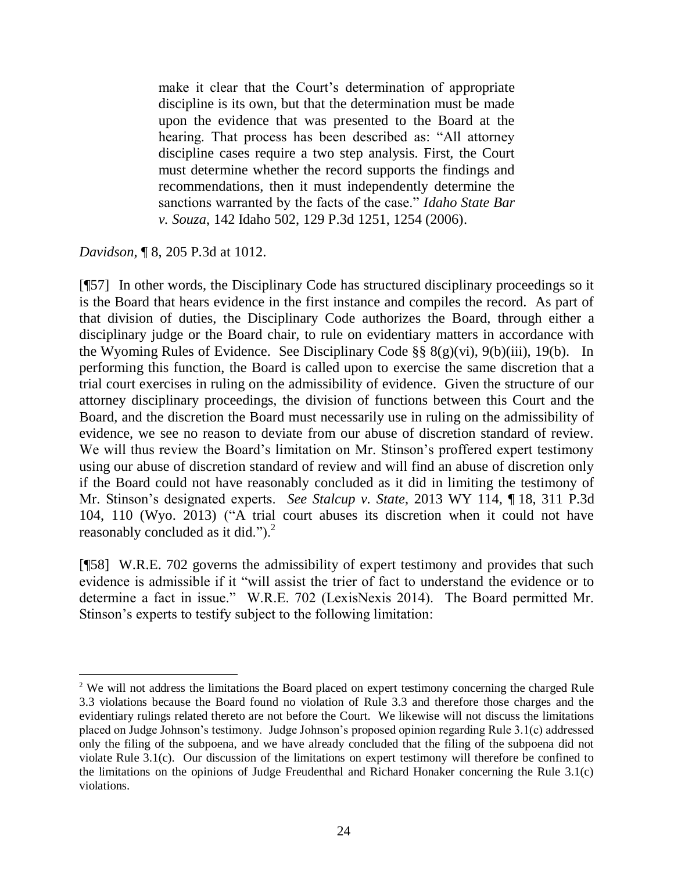make it clear that the Court's determination of appropriate discipline is its own, but that the determination must be made upon the evidence that was presented to the Board at the hearing. That process has been described as: "All attorney discipline cases require a two step analysis. First, the Court must determine whether the record supports the findings and recommendations, then it must independently determine the sanctions warranted by the facts of the case." *[Idaho State Bar](http://www.westlaw.com/Link/Document/FullText?findType=Y&serNum=2008333133&pubNum=4645&fi=co_pp_sp_4645_1254&originationContext=document&vr=3.0&rs=cblt1.0&transitionType=DocumentItem&contextData=(sc.UserEnteredCitation)#co_pp_sp_4645_1254)  v. Souza*[, 142 Idaho 502, 129 P.3d 1251, 1254 \(2006\).](http://www.westlaw.com/Link/Document/FullText?findType=Y&serNum=2008333133&pubNum=4645&fi=co_pp_sp_4645_1254&originationContext=document&vr=3.0&rs=cblt1.0&transitionType=DocumentItem&contextData=(sc.UserEnteredCitation)#co_pp_sp_4645_1254)

*Davidson*, ¶ 8, 205 P.3d at 1012.

l

[¶57] In other words, the Disciplinary Code has structured disciplinary proceedings so it is the Board that hears evidence in the first instance and compiles the record. As part of that division of duties, the Disciplinary Code authorizes the Board, through either a disciplinary judge or the Board chair, to rule on evidentiary matters in accordance with the Wyoming Rules of Evidence. See Disciplinary Code  $\S$ §  $8(g)(vi)$ ,  $9(b)(iii)$ ,  $19(b)$ . In performing this function, the Board is called upon to exercise the same discretion that a trial court exercises in ruling on the admissibility of evidence. Given the structure of our attorney disciplinary proceedings, the division of functions between this Court and the Board, and the discretion the Board must necessarily use in ruling on the admissibility of evidence, we see no reason to deviate from our abuse of discretion standard of review. We will thus review the Board's limitation on Mr. Stinson's proffered expert testimony using our abuse of discretion standard of review and will find an abuse of discretion only if the Board could not have reasonably concluded as it did in limiting the testimony of Mr. Stinson's designated experts. *See Stalcup v. State*, 2013 WY 114, ¶ 18, 311 P.3d 104, 110 (Wyo. 2013) ("A trial court abuses its discretion when it could not have reasonably concluded as it did." $)$ .<sup>2</sup>

[¶58] W.R.E. 702 governs the admissibility of expert testimony and provides that such evidence is admissible if it "will assist the trier of fact to understand the evidence or to determine a fact in issue." W.R.E. 702 (LexisNexis 2014). The Board permitted Mr. Stinson's experts to testify subject to the following limitation:

<sup>&</sup>lt;sup>2</sup> We will not address the limitations the Board placed on expert testimony concerning the charged Rule 3.3 violations because the Board found no violation of Rule 3.3 and therefore those charges and the evidentiary rulings related thereto are not before the Court. We likewise will not discuss the limitations placed on Judge Johnson's testimony. Judge Johnson's proposed opinion regarding Rule 3.1(c) addressed only the filing of the subpoena, and we have already concluded that the filing of the subpoena did not violate Rule 3.1(c). Our discussion of the limitations on expert testimony will therefore be confined to the limitations on the opinions of Judge Freudenthal and Richard Honaker concerning the Rule 3.1(c) violations.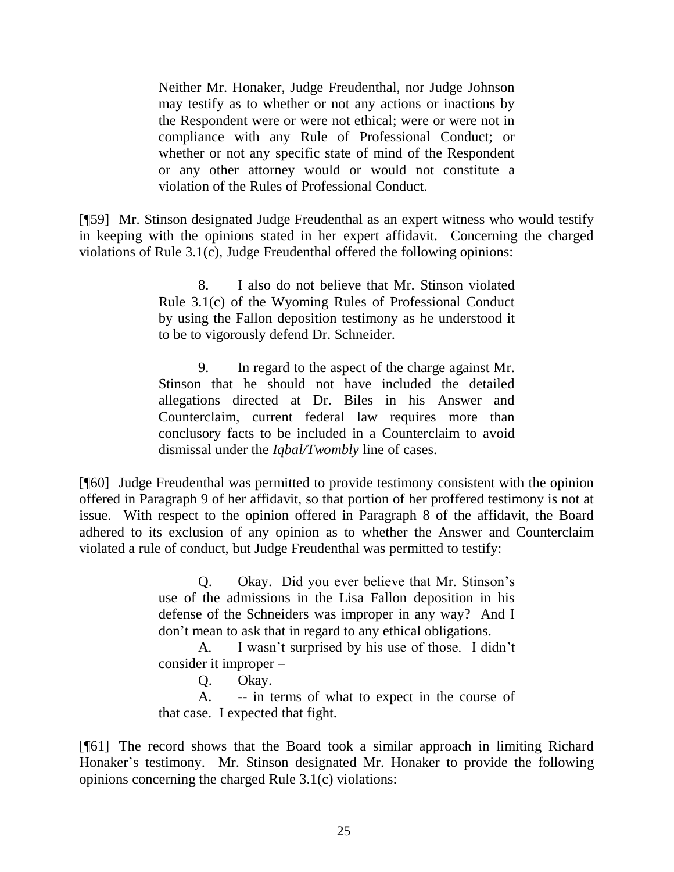Neither Mr. Honaker, Judge Freudenthal, nor Judge Johnson may testify as to whether or not any actions or inactions by the Respondent were or were not ethical; were or were not in compliance with any Rule of Professional Conduct; or whether or not any specific state of mind of the Respondent or any other attorney would or would not constitute a violation of the Rules of Professional Conduct.

[¶59] Mr. Stinson designated Judge Freudenthal as an expert witness who would testify in keeping with the opinions stated in her expert affidavit. Concerning the charged violations of Rule 3.1(c), Judge Freudenthal offered the following opinions:

> 8. I also do not believe that Mr. Stinson violated Rule 3.1(c) of the Wyoming Rules of Professional Conduct by using the Fallon deposition testimony as he understood it to be to vigorously defend Dr. Schneider.

> 9. In regard to the aspect of the charge against Mr. Stinson that he should not have included the detailed allegations directed at Dr. Biles in his Answer and Counterclaim, current federal law requires more than conclusory facts to be included in a Counterclaim to avoid dismissal under the *Iqbal/Twombly* line of cases.

[¶60] Judge Freudenthal was permitted to provide testimony consistent with the opinion offered in Paragraph 9 of her affidavit, so that portion of her proffered testimony is not at issue. With respect to the opinion offered in Paragraph 8 of the affidavit, the Board adhered to its exclusion of any opinion as to whether the Answer and Counterclaim violated a rule of conduct, but Judge Freudenthal was permitted to testify:

> Q. Okay. Did you ever believe that Mr. Stinson's use of the admissions in the Lisa Fallon deposition in his defense of the Schneiders was improper in any way? And I don't mean to ask that in regard to any ethical obligations.

> A. I wasn't surprised by his use of those. I didn't consider it improper –

Q. Okay.

A. -- in terms of what to expect in the course of that case. I expected that fight.

[¶61] The record shows that the Board took a similar approach in limiting Richard Honaker's testimony. Mr. Stinson designated Mr. Honaker to provide the following opinions concerning the charged Rule 3.1(c) violations: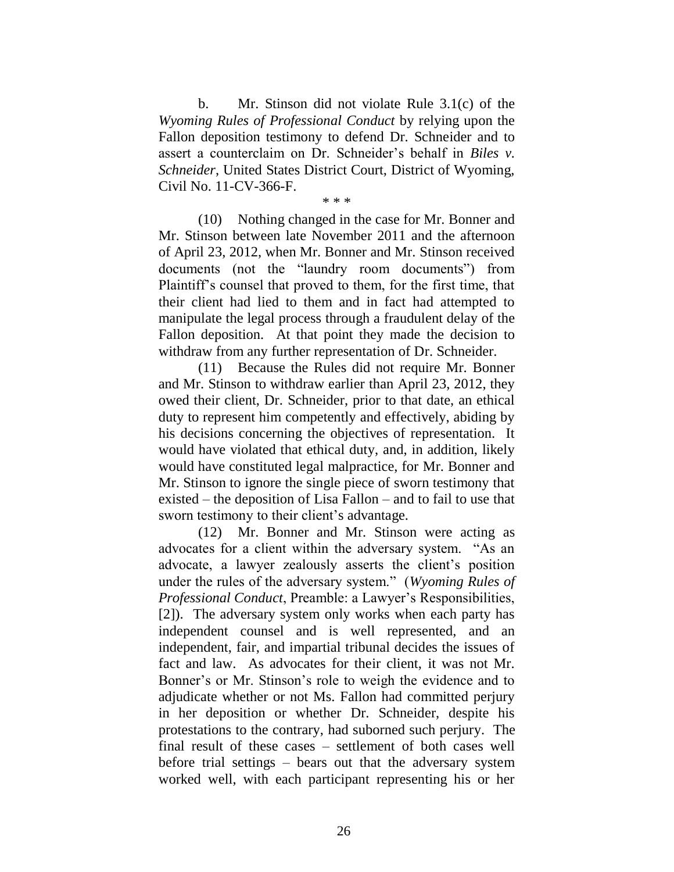b. Mr. Stinson did not violate Rule 3.1(c) of the *Wyoming Rules of Professional Conduct* by relying upon the Fallon deposition testimony to defend Dr. Schneider and to assert a counterclaim on Dr. Schneider's behalf in *Biles v. Schneider*, United States District Court, District of Wyoming, Civil No. 11-CV-366-F.

\* \* \*

(10) Nothing changed in the case for Mr. Bonner and Mr. Stinson between late November 2011 and the afternoon of April 23, 2012, when Mr. Bonner and Mr. Stinson received documents (not the "laundry room documents") from Plaintiff's counsel that proved to them, for the first time, that their client had lied to them and in fact had attempted to manipulate the legal process through a fraudulent delay of the Fallon deposition. At that point they made the decision to withdraw from any further representation of Dr. Schneider.

(11) Because the Rules did not require Mr. Bonner and Mr. Stinson to withdraw earlier than April 23, 2012, they owed their client, Dr. Schneider, prior to that date, an ethical duty to represent him competently and effectively, abiding by his decisions concerning the objectives of representation. It would have violated that ethical duty, and, in addition, likely would have constituted legal malpractice, for Mr. Bonner and Mr. Stinson to ignore the single piece of sworn testimony that existed – the deposition of Lisa Fallon – and to fail to use that sworn testimony to their client's advantage.

(12) Mr. Bonner and Mr. Stinson were acting as advocates for a client within the adversary system. "As an advocate, a lawyer zealously asserts the client's position under the rules of the adversary system." (*Wyoming Rules of Professional Conduct*, Preamble: a Lawyer's Responsibilities, [2]). The adversary system only works when each party has independent counsel and is well represented, and an independent, fair, and impartial tribunal decides the issues of fact and law. As advocates for their client, it was not Mr. Bonner's or Mr. Stinson's role to weigh the evidence and to adjudicate whether or not Ms. Fallon had committed perjury in her deposition or whether Dr. Schneider, despite his protestations to the contrary, had suborned such perjury. The final result of these cases – settlement of both cases well before trial settings – bears out that the adversary system worked well, with each participant representing his or her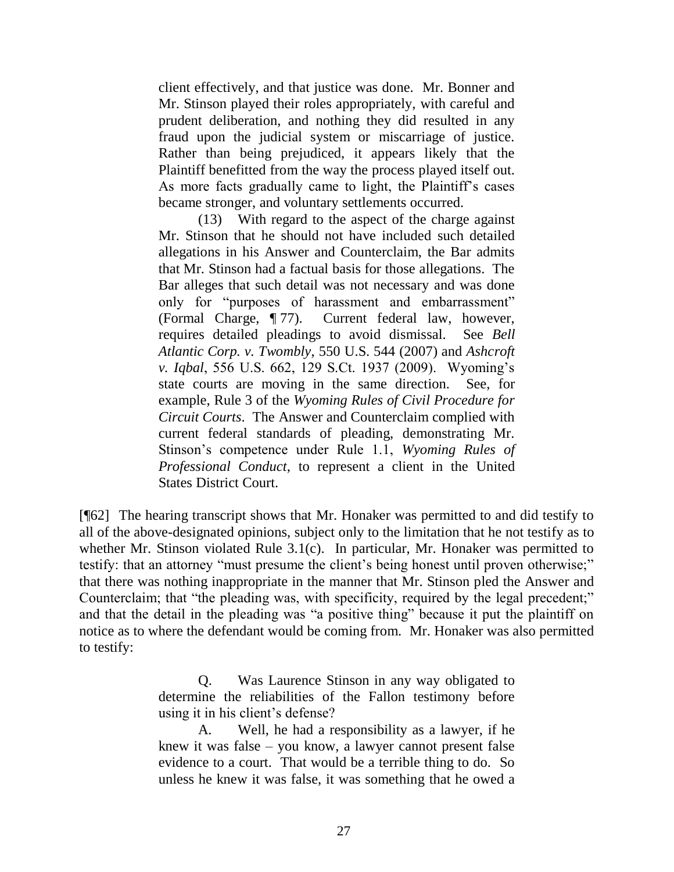client effectively, and that justice was done. Mr. Bonner and Mr. Stinson played their roles appropriately, with careful and prudent deliberation, and nothing they did resulted in any fraud upon the judicial system or miscarriage of justice. Rather than being prejudiced, it appears likely that the Plaintiff benefitted from the way the process played itself out. As more facts gradually came to light, the Plaintiff's cases became stronger, and voluntary settlements occurred.

(13) With regard to the aspect of the charge against Mr. Stinson that he should not have included such detailed allegations in his Answer and Counterclaim, the Bar admits that Mr. Stinson had a factual basis for those allegations. The Bar alleges that such detail was not necessary and was done only for "purposes of harassment and embarrassment" (Formal Charge, ¶ 77). Current federal law, however, requires detailed pleadings to avoid dismissal. See *Bell Atlantic Corp. v. Twombly*, 550 U.S. 544 (2007) and *Ashcroft v. Iqbal*, 556 U.S. 662, 129 S.Ct. 1937 (2009). Wyoming's state courts are moving in the same direction. See, for example, Rule 3 of the *Wyoming Rules of Civil Procedure for Circuit Courts*. The Answer and Counterclaim complied with current federal standards of pleading, demonstrating Mr. Stinson's competence under Rule 1.1, *Wyoming Rules of Professional Conduct*, to represent a client in the United States District Court.

[¶62] The hearing transcript shows that Mr. Honaker was permitted to and did testify to all of the above-designated opinions, subject only to the limitation that he not testify as to whether Mr. Stinson violated Rule 3.1(c). In particular, Mr. Honaker was permitted to testify: that an attorney "must presume the client's being honest until proven otherwise;" that there was nothing inappropriate in the manner that Mr. Stinson pled the Answer and Counterclaim; that "the pleading was, with specificity, required by the legal precedent;" and that the detail in the pleading was "a positive thing" because it put the plaintiff on notice as to where the defendant would be coming from. Mr. Honaker was also permitted to testify:

> Q. Was Laurence Stinson in any way obligated to determine the reliabilities of the Fallon testimony before using it in his client's defense?

> A. Well, he had a responsibility as a lawyer, if he knew it was false – you know, a lawyer cannot present false evidence to a court. That would be a terrible thing to do. So unless he knew it was false, it was something that he owed a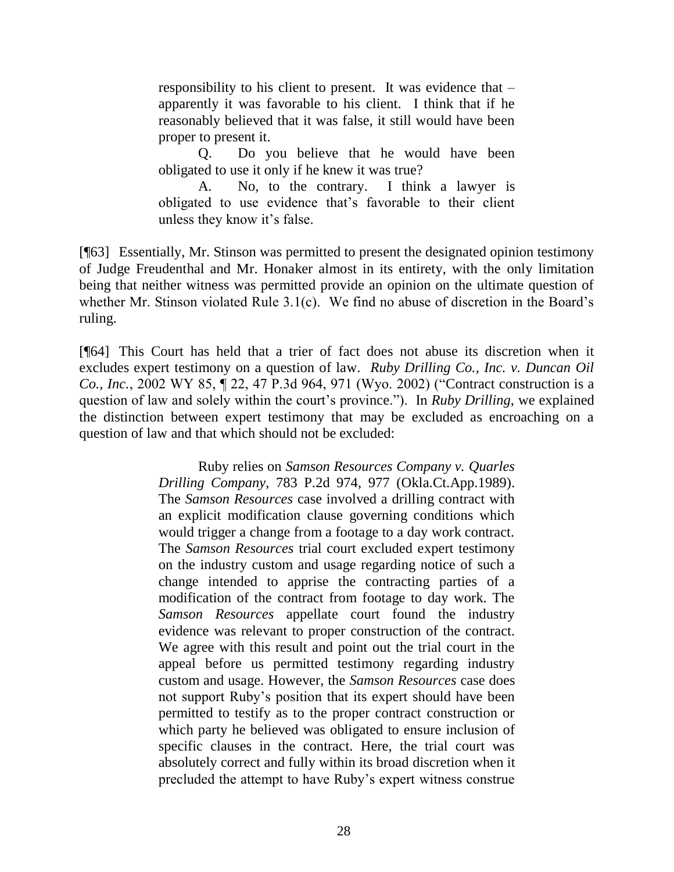responsibility to his client to present. It was evidence that – apparently it was favorable to his client. I think that if he reasonably believed that it was false, it still would have been proper to present it.

Q. Do you believe that he would have been obligated to use it only if he knew it was true?

A. No, to the contrary. I think a lawyer is obligated to use evidence that's favorable to their client unless they know it's false.

[¶63] Essentially, Mr. Stinson was permitted to present the designated opinion testimony of Judge Freudenthal and Mr. Honaker almost in its entirety, with the only limitation being that neither witness was permitted provide an opinion on the ultimate question of whether Mr. Stinson violated Rule 3.1(c). We find no abuse of discretion in the Board's ruling.

[¶64] This Court has held that a trier of fact does not abuse its discretion when it excludes expert testimony on a question of law. *Ruby Drilling Co., Inc. v. Duncan Oil Co., Inc.*, 2002 WY 85, ¶ 22, 47 P.3d 964, 971 (Wyo. 2002) ("Contract construction is a question of law and solely within the court's province."). In *Ruby Drilling*, we explained the distinction between expert testimony that may be excluded as encroaching on a question of law and that which should not be excluded:

> Ruby relies on *[Samson Resources Company v. Quarles](http://www.westlaw.com/Link/Document/FullText?findType=Y&serNum=1990015518&pubNum=661&fi=co_pp_sp_661_977&originationContext=document&vr=3.0&rs=cblt1.0&transitionType=DocumentItem&contextData=(sc.UserEnteredCitation)#co_pp_sp_661_977)  Drilling Company*[, 783 P.2d 974, 977 \(Okla.Ct.App.1989\).](http://www.westlaw.com/Link/Document/FullText?findType=Y&serNum=1990015518&pubNum=661&fi=co_pp_sp_661_977&originationContext=document&vr=3.0&rs=cblt1.0&transitionType=DocumentItem&contextData=(sc.UserEnteredCitation)#co_pp_sp_661_977) The *Samson Resources* case involved a drilling contract with an explicit modification clause governing conditions which would trigger a change from a footage to a day work contract. The *Samson Resources* trial court excluded expert testimony on the industry custom and usage regarding notice of such a change intended to apprise the contracting parties of a modification of the contract from footage to day work. The *Samson Resources* appellate court found the industry evidence was relevant to proper construction of the contract. We agree with this result and point out the trial court in the appeal before us permitted testimony regarding industry custom and usage. However, the *Samson Resources* case does not support Ruby's position that its expert should have been permitted to testify as to the proper contract construction or which party he believed was obligated to ensure inclusion of specific clauses in the contract. Here, the trial court was absolutely correct and fully within its broad discretion when it precluded the attempt to have Ruby's expert witness construe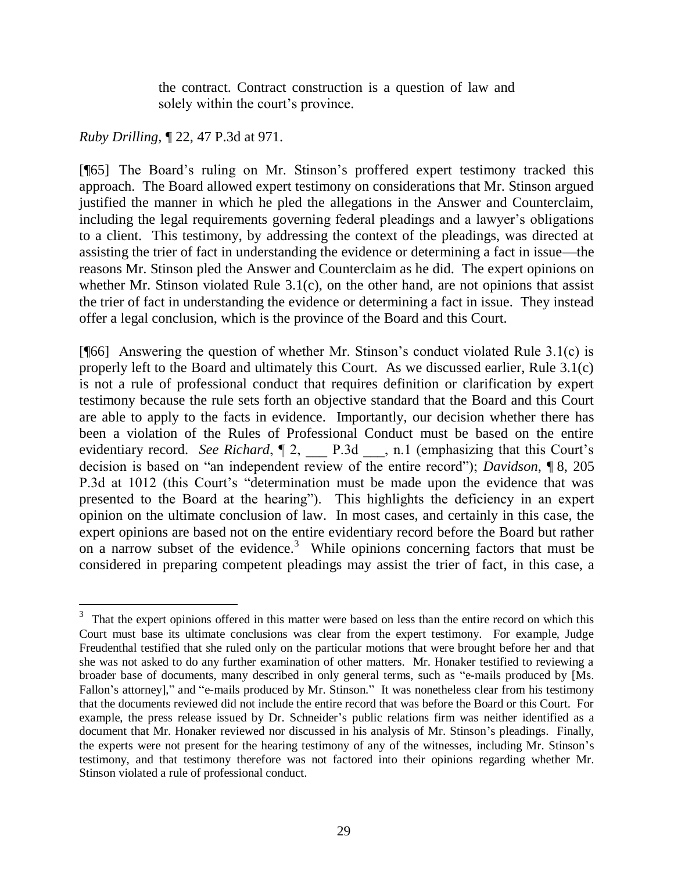the contract. Contract construction is a question of law and solely within the court's province.

*Ruby Drilling*, ¶ 22, 47 P.3d at 971.

[¶65] The Board's ruling on Mr. Stinson's proffered expert testimony tracked this approach. The Board allowed expert testimony on considerations that Mr. Stinson argued justified the manner in which he pled the allegations in the Answer and Counterclaim, including the legal requirements governing federal pleadings and a lawyer's obligations to a client. This testimony, by addressing the context of the pleadings, was directed at assisting the trier of fact in understanding the evidence or determining a fact in issue—the reasons Mr. Stinson pled the Answer and Counterclaim as he did. The expert opinions on whether Mr. Stinson violated Rule 3.1(c), on the other hand, are not opinions that assist the trier of fact in understanding the evidence or determining a fact in issue. They instead offer a legal conclusion, which is the province of the Board and this Court.

[ $[$ 66] Answering the question of whether Mr. Stinson's conduct violated Rule 3.1(c) is properly left to the Board and ultimately this Court. As we discussed earlier, Rule 3.1(c) is not a rule of professional conduct that requires definition or clarification by expert testimony because the rule sets forth an objective standard that the Board and this Court are able to apply to the facts in evidence. Importantly, our decision whether there has been a violation of the Rules of Professional Conduct must be based on the entire evidentiary record. *See Richard*,  $[2,$  P.3d  $\ldots$ , n.1 (emphasizing that this Court's decision is based on "an independent review of the entire record"); *Davidson*, ¶ 8, 205 P.3d at 1012 (this Court's "determination must be made upon the evidence that was presented to the Board at the hearing"). This highlights the deficiency in an expert opinion on the ultimate conclusion of law. In most cases, and certainly in this case, the expert opinions are based not on the entire evidentiary record before the Board but rather on a narrow subset of the evidence.<sup>3</sup> While opinions concerning factors that must be considered in preparing competent pleadings may assist the trier of fact, in this case, a

<sup>&</sup>lt;sup>3</sup> That the expert opinions offered in this matter were based on less than the entire record on which this Court must base its ultimate conclusions was clear from the expert testimony. For example, Judge Freudenthal testified that she ruled only on the particular motions that were brought before her and that she was not asked to do any further examination of other matters. Mr. Honaker testified to reviewing a broader base of documents, many described in only general terms, such as "e-mails produced by [Ms. Fallon's attorney]," and "e-mails produced by Mr. Stinson." It was nonetheless clear from his testimony that the documents reviewed did not include the entire record that was before the Board or this Court. For example, the press release issued by Dr. Schneider's public relations firm was neither identified as a document that Mr. Honaker reviewed nor discussed in his analysis of Mr. Stinson's pleadings. Finally, the experts were not present for the hearing testimony of any of the witnesses, including Mr. Stinson's testimony, and that testimony therefore was not factored into their opinions regarding whether Mr. Stinson violated a rule of professional conduct.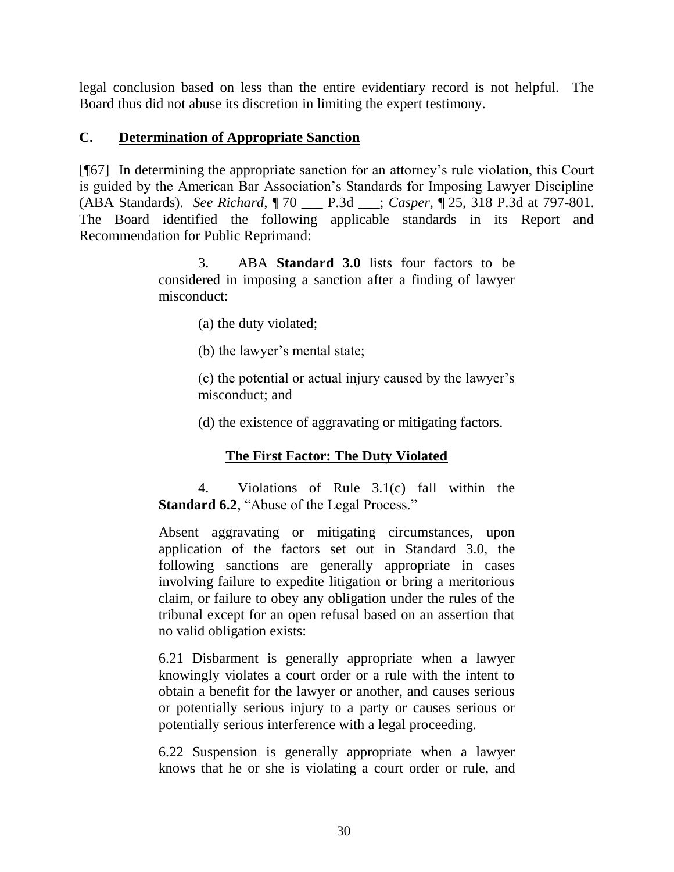legal conclusion based on less than the entire evidentiary record is not helpful. The Board thus did not abuse its discretion in limiting the expert testimony.

## **C. Determination of Appropriate Sanction**

[¶67] In determining the appropriate sanction for an attorney's rule violation, this Court is guided by the American Bar Association's Standards for Imposing Lawyer Discipline (ABA Standards). *See Richard*, ¶ 70 \_\_\_ P.3d \_\_\_; *Casper*, ¶ 25, 318 P.3d at 797-801. The Board identified the following applicable standards in its Report and Recommendation for Public Reprimand:

> 3. ABA **Standard 3.0** lists four factors to be considered in imposing a sanction after a finding of lawyer misconduct:

> > (a) the duty violated;

(b) the lawyer's mental state;

(c) the potential or actual injury caused by the lawyer's misconduct; and

(d) the existence of aggravating or mitigating factors.

# **The First Factor: The Duty Violated**

4. Violations of Rule 3.1(c) fall within the **Standard 6.2, "Abuse of the Legal Process."** 

Absent aggravating or mitigating circumstances, upon application of the factors set out in Standard 3.0, the following sanctions are generally appropriate in cases involving failure to expedite litigation or bring a meritorious claim, or failure to obey any obligation under the rules of the tribunal except for an open refusal based on an assertion that no valid obligation exists:

6.21 Disbarment is generally appropriate when a lawyer knowingly violates a court order or a rule with the intent to obtain a benefit for the lawyer or another, and causes serious or potentially serious injury to a party or causes serious or potentially serious interference with a legal proceeding.

6.22 Suspension is generally appropriate when a lawyer knows that he or she is violating a court order or rule, and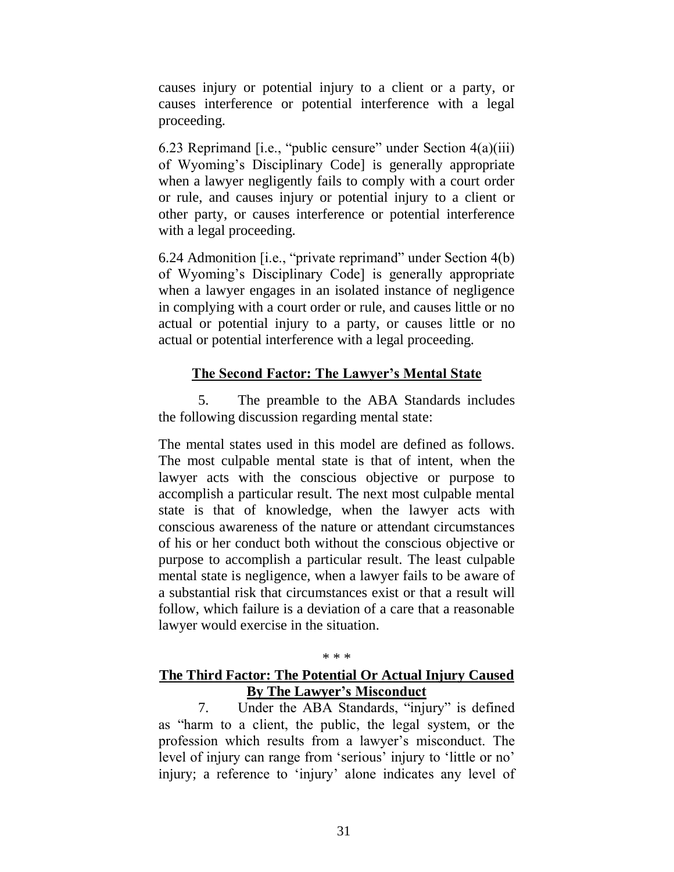causes injury or potential injury to a client or a party, or causes interference or potential interference with a legal proceeding.

6.23 Reprimand  $[$ i.e., "public censure" under Section  $4(a)(iii)$ of Wyoming's Disciplinary Code] is generally appropriate when a lawyer negligently fails to comply with a court order or rule, and causes injury or potential injury to a client or other party, or causes interference or potential interference with a legal proceeding.

6.24 Admonition [i.e., "private reprimand" under Section 4(b) of Wyoming's Disciplinary Code] is generally appropriate when a lawyer engages in an isolated instance of negligence in complying with a court order or rule, and causes little or no actual or potential injury to a party, or causes little or no actual or potential interference with a legal proceeding.

## **The Second Factor: The Lawyer's Mental State**

5. The preamble to the ABA Standards includes the following discussion regarding mental state:

The mental states used in this model are defined as follows. The most culpable mental state is that of intent, when the lawyer acts with the conscious objective or purpose to accomplish a particular result. The next most culpable mental state is that of knowledge, when the lawyer acts with conscious awareness of the nature or attendant circumstances of his or her conduct both without the conscious objective or purpose to accomplish a particular result. The least culpable mental state is negligence, when a lawyer fails to be aware of a substantial risk that circumstances exist or that a result will follow, which failure is a deviation of a care that a reasonable lawyer would exercise in the situation.

#### \* \* \*

## **The Third Factor: The Potential Or Actual Injury Caused By The Lawyer's Misconduct**

7. Under the ABA Standards, "injury" is defined as "harm to a client, the public, the legal system, or the profession which results from a lawyer's misconduct. The level of injury can range from 'serious' injury to 'little or no' injury; a reference to 'injury' alone indicates any level of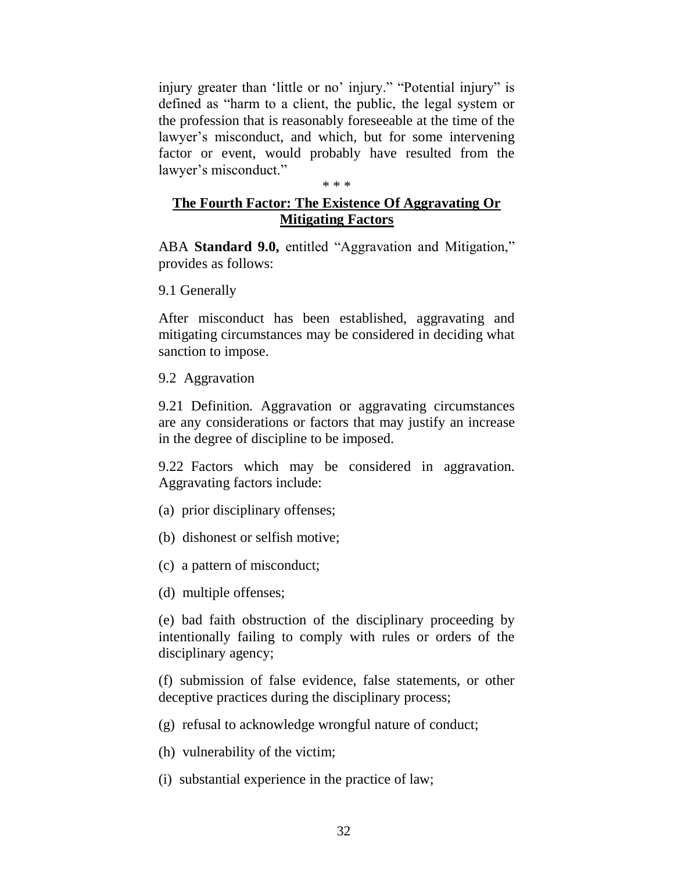injury greater than 'little or no' injury." "Potential injury" is defined as "harm to a client, the public, the legal system or the profession that is reasonably foreseeable at the time of the lawyer's misconduct, and which, but for some intervening factor or event, would probably have resulted from the lawyer's misconduct."

#### \* \* \*

## **The Fourth Factor: The Existence Of Aggravating Or Mitigating Factors**

ABA **Standard 9.0,** entitled "Aggravation and Mitigation," provides as follows:

9.1 Generally

After misconduct has been established, aggravating and mitigating circumstances may be considered in deciding what sanction to impose.

9.2 Aggravation

9.21 Definition*.* Aggravation or aggravating circumstances are any considerations or factors that may justify an increase in the degree of discipline to be imposed.

9.22 Factors which may be considered in aggravation*.* Aggravating factors include:

- (a) prior disciplinary offenses;
- (b) dishonest or selfish motive;
- (c) a pattern of misconduct;

(d) multiple offenses;

(e) bad faith obstruction of the disciplinary proceeding by intentionally failing to comply with rules or orders of the disciplinary agency;

(f) submission of false evidence, false statements, or other deceptive practices during the disciplinary process;

(g) refusal to acknowledge wrongful nature of conduct;

(h) vulnerability of the victim;

(i) substantial experience in the practice of law;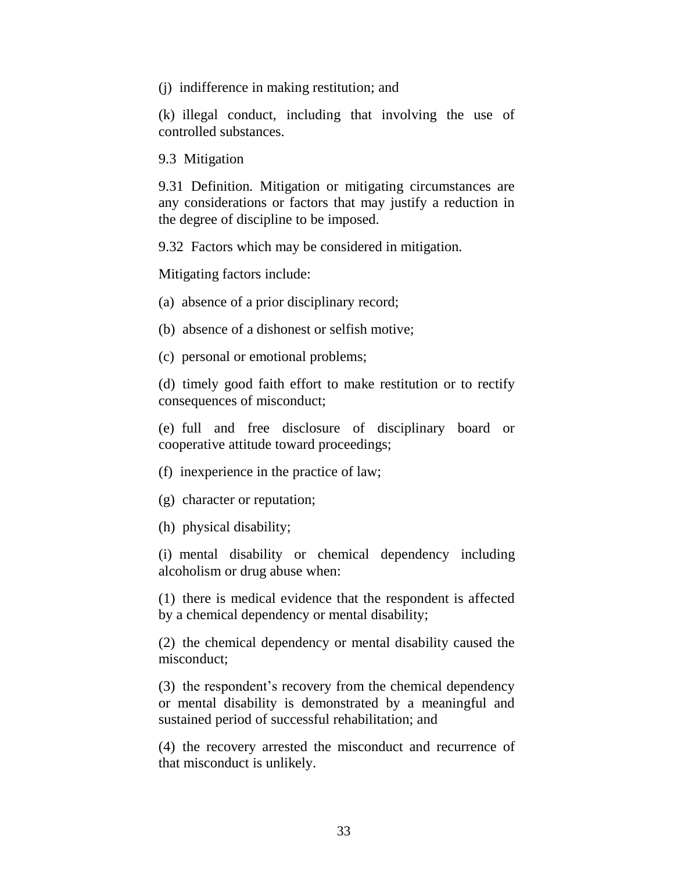(j) indifference in making restitution; and

(k) illegal conduct, including that involving the use of controlled substances.

9.3 Mitigation

9.31 Definition*.* Mitigation or mitigating circumstances are any considerations or factors that may justify a reduction in the degree of discipline to be imposed.

9.32 Factors which may be considered in mitigation*.*

Mitigating factors include:

(a) absence of a prior disciplinary record;

(b) absence of a dishonest or selfish motive;

(c) personal or emotional problems;

(d) timely good faith effort to make restitution or to rectify consequences of misconduct;

(e) full and free disclosure of disciplinary board or cooperative attitude toward proceedings;

(f) inexperience in the practice of law;

(g) character or reputation;

(h) physical disability;

(i) mental disability or chemical dependency including alcoholism or drug abuse when:

(1) there is medical evidence that the respondent is affected by a chemical dependency or mental disability;

(2) the chemical dependency or mental disability caused the misconduct;

(3) the respondent's recovery from the chemical dependency or mental disability is demonstrated by a meaningful and sustained period of successful rehabilitation; and

(4) the recovery arrested the misconduct and recurrence of that misconduct is unlikely.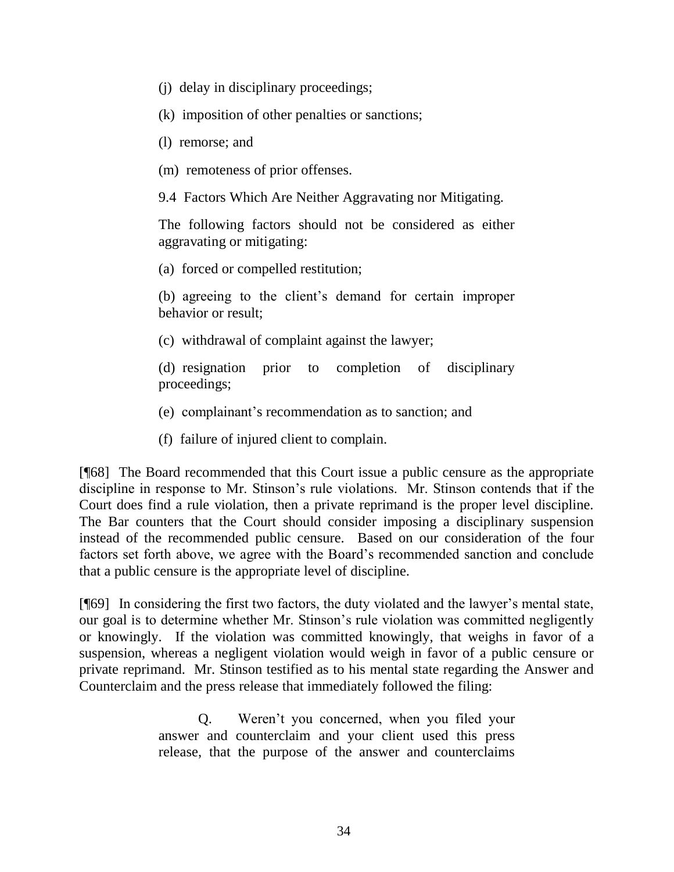- (j) delay in disciplinary proceedings;
- (k) imposition of other penalties or sanctions;
- (l) remorse; and
- (m) remoteness of prior offenses.

9.4 Factors Which Are Neither Aggravating nor Mitigating.

The following factors should not be considered as either aggravating or mitigating:

(a) forced or compelled restitution;

(b) agreeing to the client's demand for certain improper behavior or result;

(c) withdrawal of complaint against the lawyer;

(d) resignation prior to completion of disciplinary proceedings;

- (e) complainant's recommendation as to sanction; and
- (f) failure of injured client to complain.

[¶68] The Board recommended that this Court issue a public censure as the appropriate discipline in response to Mr. Stinson's rule violations. Mr. Stinson contends that if the Court does find a rule violation, then a private reprimand is the proper level discipline. The Bar counters that the Court should consider imposing a disciplinary suspension instead of the recommended public censure. Based on our consideration of the four factors set forth above, we agree with the Board's recommended sanction and conclude that a public censure is the appropriate level of discipline.

[¶69] In considering the first two factors, the duty violated and the lawyer's mental state, our goal is to determine whether Mr. Stinson's rule violation was committed negligently or knowingly. If the violation was committed knowingly, that weighs in favor of a suspension, whereas a negligent violation would weigh in favor of a public censure or private reprimand. Mr. Stinson testified as to his mental state regarding the Answer and Counterclaim and the press release that immediately followed the filing:

> Q. Weren't you concerned, when you filed your answer and counterclaim and your client used this press release, that the purpose of the answer and counterclaims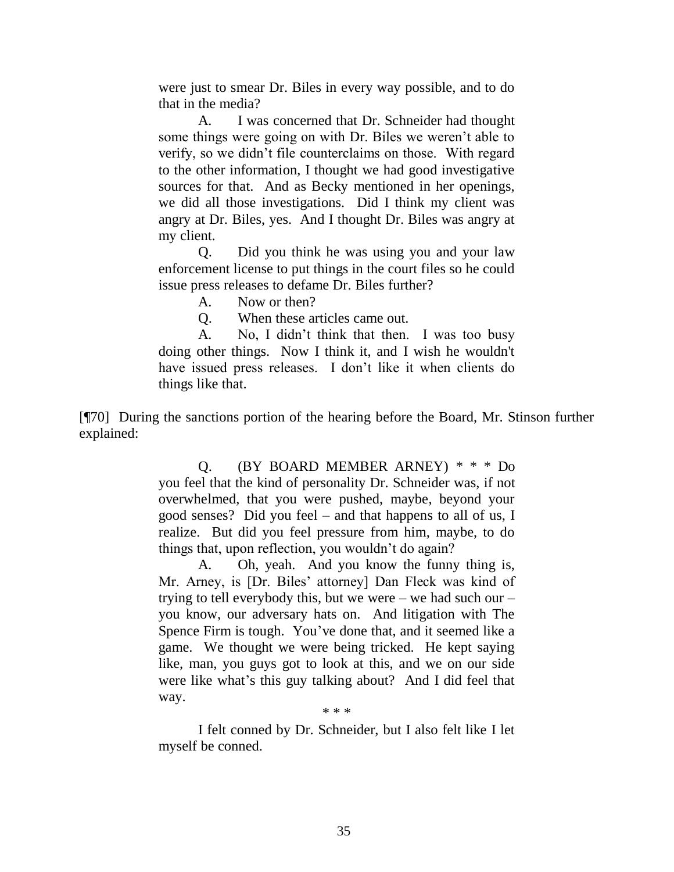were just to smear Dr. Biles in every way possible, and to do that in the media?

A. I was concerned that Dr. Schneider had thought some things were going on with Dr. Biles we weren't able to verify, so we didn't file counterclaims on those. With regard to the other information, I thought we had good investigative sources for that. And as Becky mentioned in her openings, we did all those investigations. Did I think my client was angry at Dr. Biles, yes. And I thought Dr. Biles was angry at my client.

Q. Did you think he was using you and your law enforcement license to put things in the court files so he could issue press releases to defame Dr. Biles further?

A. Now or then?

Q. When these articles came out.

A. No, I didn't think that then. I was too busy doing other things. Now I think it, and I wish he wouldn't have issued press releases. I don't like it when clients do things like that.

[¶70] During the sanctions portion of the hearing before the Board, Mr. Stinson further explained:

> Q. (BY BOARD MEMBER ARNEY) \* \* \* Do you feel that the kind of personality Dr. Schneider was, if not overwhelmed, that you were pushed, maybe, beyond your good senses? Did you feel – and that happens to all of us, I realize. But did you feel pressure from him, maybe, to do things that, upon reflection, you wouldn't do again?

> A. Oh, yeah. And you know the funny thing is, Mr. Arney, is [Dr. Biles' attorney] Dan Fleck was kind of trying to tell everybody this, but we were – we had such our – you know, our adversary hats on. And litigation with The Spence Firm is tough. You've done that, and it seemed like a game. We thought we were being tricked. He kept saying like, man, you guys got to look at this, and we on our side were like what's this guy talking about? And I did feel that way.

> > \* \* \*

I felt conned by Dr. Schneider, but I also felt like I let myself be conned.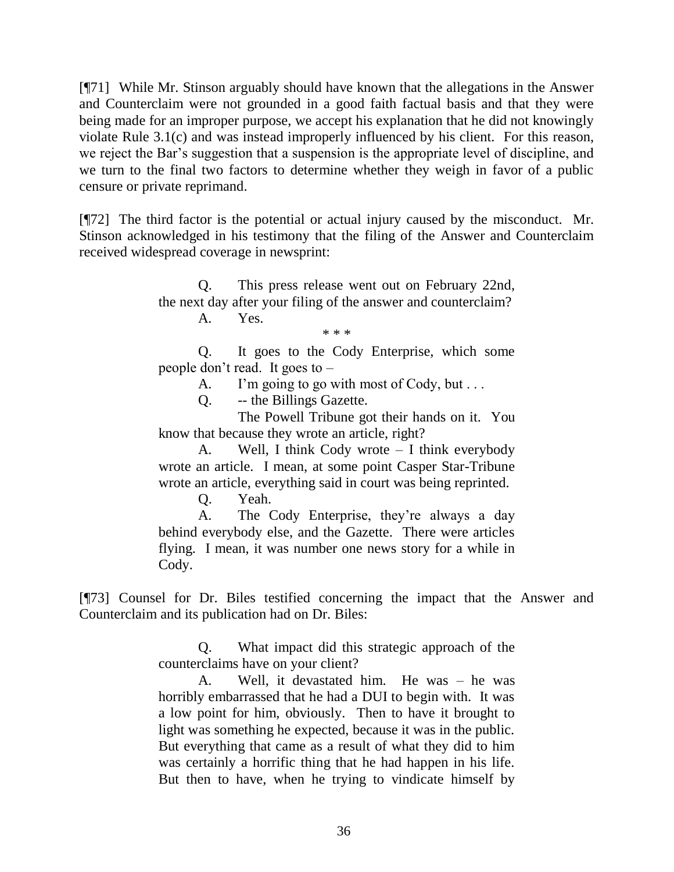[¶71] While Mr. Stinson arguably should have known that the allegations in the Answer and Counterclaim were not grounded in a good faith factual basis and that they were being made for an improper purpose, we accept his explanation that he did not knowingly violate Rule 3.1(c) and was instead improperly influenced by his client. For this reason, we reject the Bar's suggestion that a suspension is the appropriate level of discipline, and we turn to the final two factors to determine whether they weigh in favor of a public censure or private reprimand.

[¶72] The third factor is the potential or actual injury caused by the misconduct. Mr. Stinson acknowledged in his testimony that the filing of the Answer and Counterclaim received widespread coverage in newsprint:

> Q. This press release went out on February 22nd, the next day after your filing of the answer and counterclaim?

A. Yes.

\* \* \*

Q. It goes to the Cody Enterprise, which some people don't read. It goes to –

A. I'm going to go with most of Cody, but . . .

Q. -- the Billings Gazette.

The Powell Tribune got their hands on it. You know that because they wrote an article, right?

A. Well, I think Cody wrote – I think everybody wrote an article. I mean, at some point Casper Star-Tribune wrote an article, everything said in court was being reprinted.

Q. Yeah.

A. The Cody Enterprise, they're always a day behind everybody else, and the Gazette. There were articles flying. I mean, it was number one news story for a while in Cody.

[¶73] Counsel for Dr. Biles testified concerning the impact that the Answer and Counterclaim and its publication had on Dr. Biles:

> Q. What impact did this strategic approach of the counterclaims have on your client?

> A. Well, it devastated him. He was – he was horribly embarrassed that he had a DUI to begin with. It was a low point for him, obviously. Then to have it brought to light was something he expected, because it was in the public. But everything that came as a result of what they did to him was certainly a horrific thing that he had happen in his life. But then to have, when he trying to vindicate himself by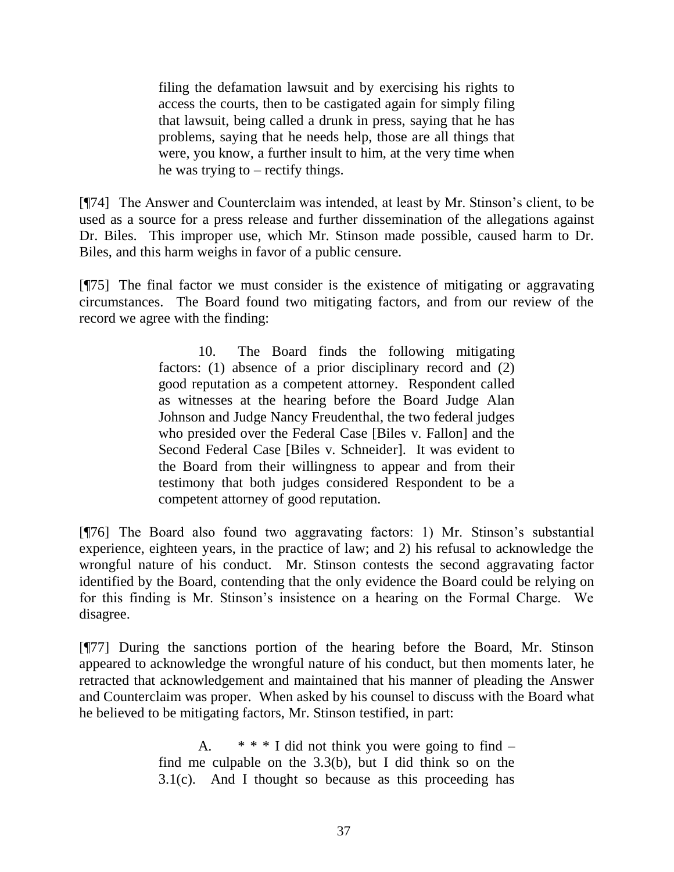filing the defamation lawsuit and by exercising his rights to access the courts, then to be castigated again for simply filing that lawsuit, being called a drunk in press, saying that he has problems, saying that he needs help, those are all things that were, you know, a further insult to him, at the very time when he was trying to – rectify things.

[¶74] The Answer and Counterclaim was intended, at least by Mr. Stinson's client, to be used as a source for a press release and further dissemination of the allegations against Dr. Biles. This improper use, which Mr. Stinson made possible, caused harm to Dr. Biles, and this harm weighs in favor of a public censure.

[¶75] The final factor we must consider is the existence of mitigating or aggravating circumstances. The Board found two mitigating factors, and from our review of the record we agree with the finding:

> 10. The Board finds the following mitigating factors: (1) absence of a prior disciplinary record and (2) good reputation as a competent attorney. Respondent called as witnesses at the hearing before the Board Judge Alan Johnson and Judge Nancy Freudenthal, the two federal judges who presided over the Federal Case [Biles v. Fallon] and the Second Federal Case [Biles v. Schneider]. It was evident to the Board from their willingness to appear and from their testimony that both judges considered Respondent to be a competent attorney of good reputation.

[¶76] The Board also found two aggravating factors: 1) Mr. Stinson's substantial experience, eighteen years, in the practice of law; and 2) his refusal to acknowledge the wrongful nature of his conduct. Mr. Stinson contests the second aggravating factor identified by the Board, contending that the only evidence the Board could be relying on for this finding is Mr. Stinson's insistence on a hearing on the Formal Charge. We disagree.

[¶77] During the sanctions portion of the hearing before the Board, Mr. Stinson appeared to acknowledge the wrongful nature of his conduct, but then moments later, he retracted that acknowledgement and maintained that his manner of pleading the Answer and Counterclaim was proper. When asked by his counsel to discuss with the Board what he believed to be mitigating factors, Mr. Stinson testified, in part:

> A.  $* * * I$  did not think you were going to find – find me culpable on the  $3.3(b)$ , but I did think so on the  $3.1(c)$ . And I thought so because as this proceeding has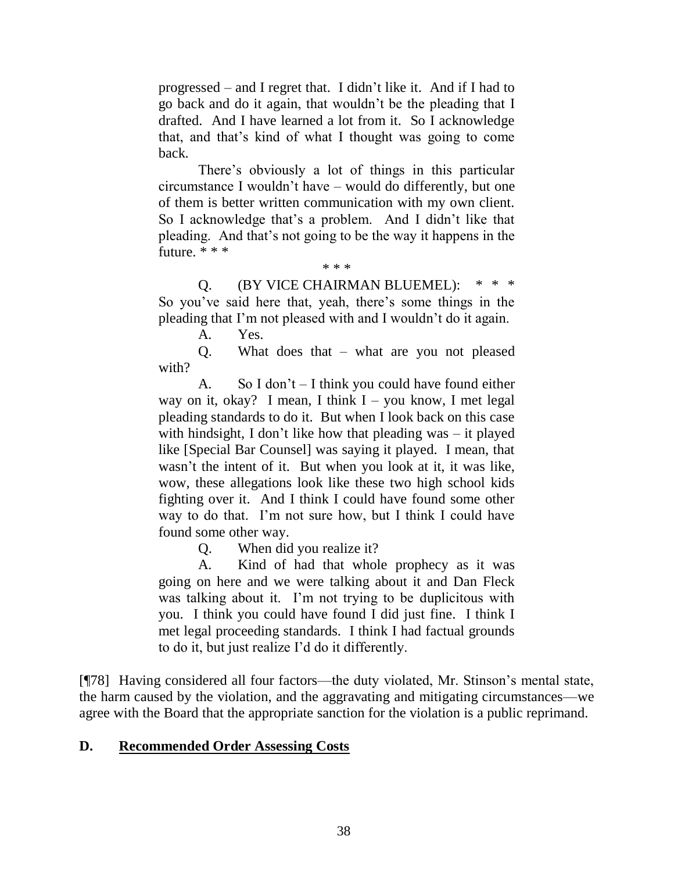progressed – and I regret that. I didn't like it. And if I had to go back and do it again, that wouldn't be the pleading that I drafted. And I have learned a lot from it. So I acknowledge that, and that's kind of what I thought was going to come back.

There's obviously a lot of things in this particular circumstance I wouldn't have – would do differently, but one of them is better written communication with my own client. So I acknowledge that's a problem. And I didn't like that pleading. And that's not going to be the way it happens in the future. \* \* \*

\* \* \*

Q. (BY VICE CHAIRMAN BLUEMEL): So you've said here that, yeah, there's some things in the pleading that I'm not pleased with and I wouldn't do it again.

A. Yes.

Q. What does that – what are you not pleased with?

A. So I don't – I think you could have found either way on it, okay? I mean, I think  $I - you know, I$  met legal pleading standards to do it. But when I look back on this case with hindsight, I don't like how that pleading was – it played like [Special Bar Counsel] was saying it played. I mean, that wasn't the intent of it. But when you look at it, it was like, wow, these allegations look like these two high school kids fighting over it. And I think I could have found some other way to do that. I'm not sure how, but I think I could have found some other way.

Q. When did you realize it?

A. Kind of had that whole prophecy as it was going on here and we were talking about it and Dan Fleck was talking about it. I'm not trying to be duplicitous with you. I think you could have found I did just fine. I think I met legal proceeding standards. I think I had factual grounds to do it, but just realize I'd do it differently.

[¶78] Having considered all four factors—the duty violated, Mr. Stinson's mental state, the harm caused by the violation, and the aggravating and mitigating circumstances—we agree with the Board that the appropriate sanction for the violation is a public reprimand.

## **D. Recommended Order Assessing Costs**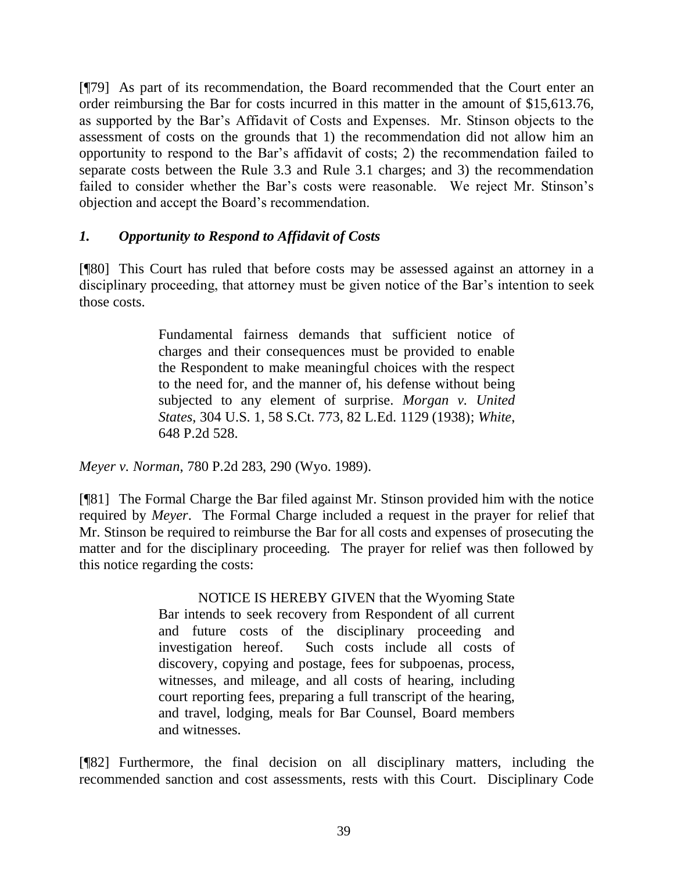[¶79] As part of its recommendation, the Board recommended that the Court enter an order reimbursing the Bar for costs incurred in this matter in the amount of \$15,613.76, as supported by the Bar's Affidavit of Costs and Expenses. Mr. Stinson objects to the assessment of costs on the grounds that 1) the recommendation did not allow him an opportunity to respond to the Bar's affidavit of costs; 2) the recommendation failed to separate costs between the Rule 3.3 and Rule 3.1 charges; and 3) the recommendation failed to consider whether the Bar's costs were reasonable. We reject Mr. Stinson's objection and accept the Board's recommendation.

## *1. Opportunity to Respond to Affidavit of Costs*

[¶80] This Court has ruled that before costs may be assessed against an attorney in a disciplinary proceeding, that attorney must be given notice of the Bar's intention to seek those costs.

> Fundamental fairness demands that sufficient notice of charges and their consequences must be provided to enable the Respondent to make meaningful choices with the respect to the need for, and the manner of, his defense without being subjected to any element of surprise. *[Morgan v. United](http://www.westlaw.com/Link/Document/FullText?findType=Y&serNum=1938121386&pubNum=708&originationContext=document&vr=3.0&rs=cblt1.0&transitionType=DocumentItem&contextData=(sc.UserEnteredCitation))  States*[, 304 U.S. 1, 58 S.Ct. 773, 82 L.Ed. 1129 \(1938\);](http://www.westlaw.com/Link/Document/FullText?findType=Y&serNum=1938121386&pubNum=708&originationContext=document&vr=3.0&rs=cblt1.0&transitionType=DocumentItem&contextData=(sc.UserEnteredCitation)) *[White](http://www.westlaw.com/Link/Document/FullText?findType=Y&serNum=1982133075&pubNum=661&originationContext=document&vr=3.0&rs=cblt1.0&transitionType=DocumentItem&contextData=(sc.UserEnteredCitation))*, [648 P.2d 528.](http://www.westlaw.com/Link/Document/FullText?findType=Y&serNum=1982133075&pubNum=661&originationContext=document&vr=3.0&rs=cblt1.0&transitionType=DocumentItem&contextData=(sc.UserEnteredCitation))

*Meyer v. Norman*, 780 P.2d 283, 290 (Wyo. 1989).

[¶81] The Formal Charge the Bar filed against Mr. Stinson provided him with the notice required by *Meyer*. The Formal Charge included a request in the prayer for relief that Mr. Stinson be required to reimburse the Bar for all costs and expenses of prosecuting the matter and for the disciplinary proceeding. The prayer for relief was then followed by this notice regarding the costs:

> NOTICE IS HEREBY GIVEN that the Wyoming State Bar intends to seek recovery from Respondent of all current and future costs of the disciplinary proceeding and investigation hereof. Such costs include all costs of discovery, copying and postage, fees for subpoenas, process, witnesses, and mileage, and all costs of hearing, including court reporting fees, preparing a full transcript of the hearing, and travel, lodging, meals for Bar Counsel, Board members and witnesses.

[¶82] Furthermore, the final decision on all disciplinary matters, including the recommended sanction and cost assessments, rests with this Court. Disciplinary Code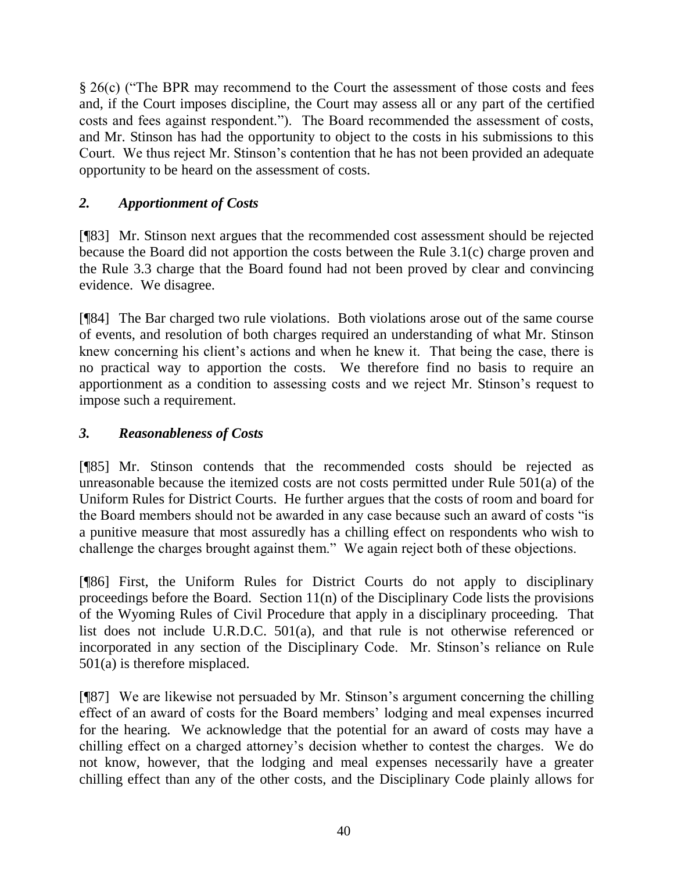§ 26(c) ("The BPR may recommend to the Court the assessment of those costs and fees and, if the Court imposes discipline, the Court may assess all or any part of the certified costs and fees against respondent."). The Board recommended the assessment of costs, and Mr. Stinson has had the opportunity to object to the costs in his submissions to this Court. We thus reject Mr. Stinson's contention that he has not been provided an adequate opportunity to be heard on the assessment of costs.

# *2. Apportionment of Costs*

[¶83] Mr. Stinson next argues that the recommended cost assessment should be rejected because the Board did not apportion the costs between the Rule 3.1(c) charge proven and the Rule 3.3 charge that the Board found had not been proved by clear and convincing evidence. We disagree.

[¶84] The Bar charged two rule violations. Both violations arose out of the same course of events, and resolution of both charges required an understanding of what Mr. Stinson knew concerning his client's actions and when he knew it. That being the case, there is no practical way to apportion the costs. We therefore find no basis to require an apportionment as a condition to assessing costs and we reject Mr. Stinson's request to impose such a requirement.

# *3. Reasonableness of Costs*

[¶85] Mr. Stinson contends that the recommended costs should be rejected as unreasonable because the itemized costs are not costs permitted under Rule 501(a) of the Uniform Rules for District Courts. He further argues that the costs of room and board for the Board members should not be awarded in any case because such an award of costs "is a punitive measure that most assuredly has a chilling effect on respondents who wish to challenge the charges brought against them." We again reject both of these objections.

[¶86] First, the Uniform Rules for District Courts do not apply to disciplinary proceedings before the Board. Section 11(n) of the Disciplinary Code lists the provisions of the Wyoming Rules of Civil Procedure that apply in a disciplinary proceeding. That list does not include U.R.D.C. 501(a), and that rule is not otherwise referenced or incorporated in any section of the Disciplinary Code. Mr. Stinson's reliance on Rule 501(a) is therefore misplaced.

[¶87] We are likewise not persuaded by Mr. Stinson's argument concerning the chilling effect of an award of costs for the Board members' lodging and meal expenses incurred for the hearing. We acknowledge that the potential for an award of costs may have a chilling effect on a charged attorney's decision whether to contest the charges. We do not know, however, that the lodging and meal expenses necessarily have a greater chilling effect than any of the other costs, and the Disciplinary Code plainly allows for